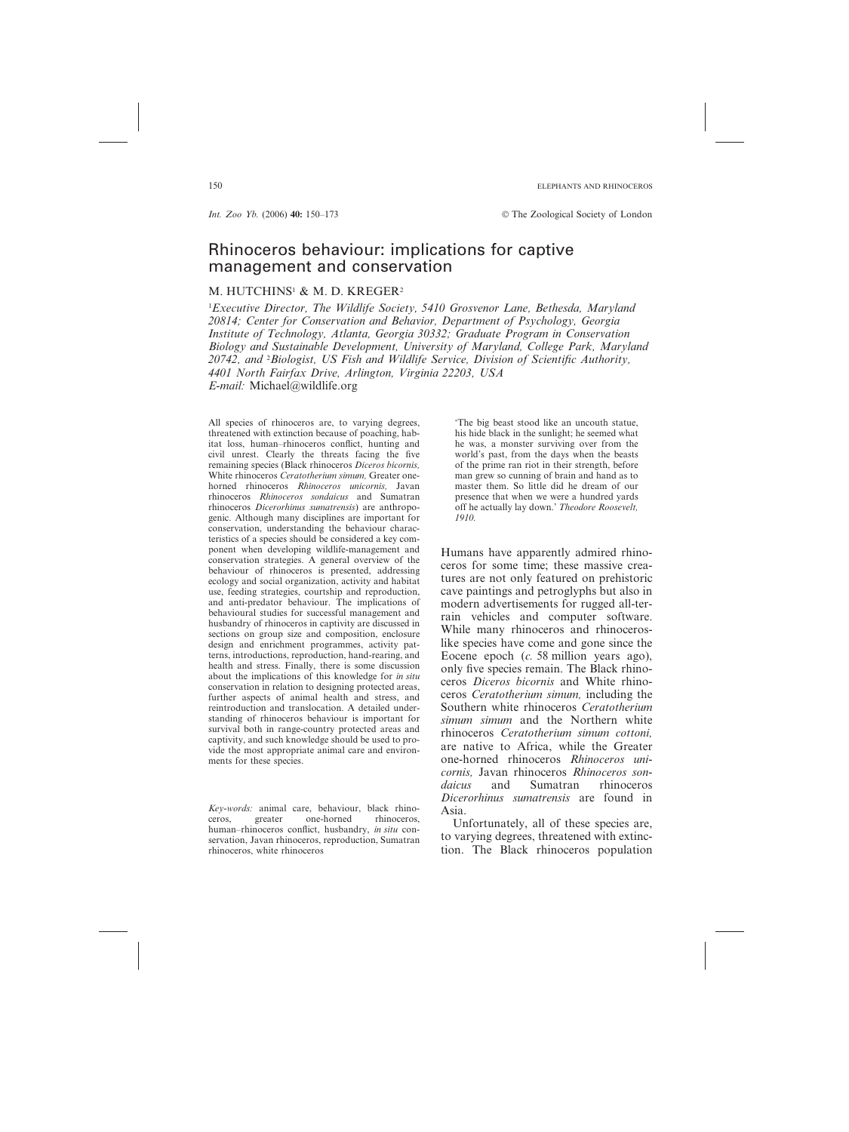# Rhinoceros behaviour: implications for captive management and conservation

## M. HUTCHINS<sup>1</sup> & M. D. KREGER<sup>2</sup>

1 *Executive Director, The Wildlife Society, 5410 Grosvenor Lane, Bethesda, Maryland 20814; Center for Conservation and Behavior, Department of Psychology, Georgia Institute of Technology, Atlanta, Georgia 30332; Graduate Program in Conservation Biology and Sustainable Development, University of Maryland, College Park, Maryland 20742, and* <sup>2</sup> *Biologist, US Fish and Wildlife Service, Division of Scientific Authority, 4401 North Fairfax Drive, Arlington, Virginia 22203, USA E-mail:* Michael@wildlife.org

All species of rhinoceros are, to varying degrees, threatened with extinction because of poaching, habitat loss, human–rhinoceros conflict, hunting and civil unrest. Clearly the threats facing the five remaining species (Black rhinoceros *Diceros bicornis,* White rhinoceros *Ceratotherium simum,* Greater onehorned rhinoceros *Rhinoceros unicornis,* Javan rhinoceros *Rhinoceros sondaicus* and Sumatran rhinoceros *Dicerorhinus sumatrensis*) are anthropogenic. Although many disciplines are important for conservation, understanding the behaviour characteristics of a species should be considered a key component when developing wildlife-management and conservation strategies. A general overview of the behaviour of rhinoceros is presented, addressing ecology and social organization, activity and habitat use, feeding strategies, courtship and reproduction, and anti-predator behaviour. The implications of behavioural studies for successful management and husbandry of rhinoceros in captivity are discussed in sections on group size and composition, enclosure design and enrichment programmes, activity patterns, introductions, reproduction, hand-rearing, and health and stress. Finally, there is some discussion about the implications of this knowledge for *in situ* conservation in relation to designing protected areas, further aspects of animal health and stress, and reintroduction and translocation. A detailed understanding of rhinoceros behaviour is important for survival both in range-country protected areas and captivity, and such knowledge should be used to provide the most appropriate animal care and environments for these species.

*Key-words:* animal care, behaviour, black rhinoceros, greater one-horned rhinoceros, human–rhinoceros conflict, husbandry, *in situ* conservation, Javan rhinoceros, reproduction, Sumatran rhinoceros, white rhinoceros

'The big beast stood like an uncouth statue, his hide black in the sunlight; he seemed what he was, a monster surviving over from the world's past, from the days when the beasts of the prime ran riot in their strength, before man grew so cunning of brain and hand as to master them. So little did he dream of our presence that when we were a hundred yards off he actually lay down.' *Theodore Roosevelt, 1910.*

Humans have apparently admired rhinoceros for some time; these massive creatures are not only featured on prehistoric cave paintings and petroglyphs but also in modern advertisements for rugged all-terrain vehicles and computer software. While many rhinoceros and rhinoceroslike species have come and gone since the Eocene epoch (*c.* 58 million years ago), only five species remain. The Black rhinoceros *Diceros bicornis* and White rhinoceros *Ceratotherium simum,* including the Southern white rhinoceros *Ceratotherium simum simum* and the Northern white rhinoceros *Ceratotherium simum cottoni,* are native to Africa, while the Greater one-horned rhinoceros *Rhinoceros unicornis,* Javan rhinoceros *Rhinoceros sondaicus* and Sumatran rhinoceros *Dicerorhinus sumatrensis* are found in Asia.

Unfortunately, all of these species are, to varying degrees, threatened with extinction. The Black rhinoceros population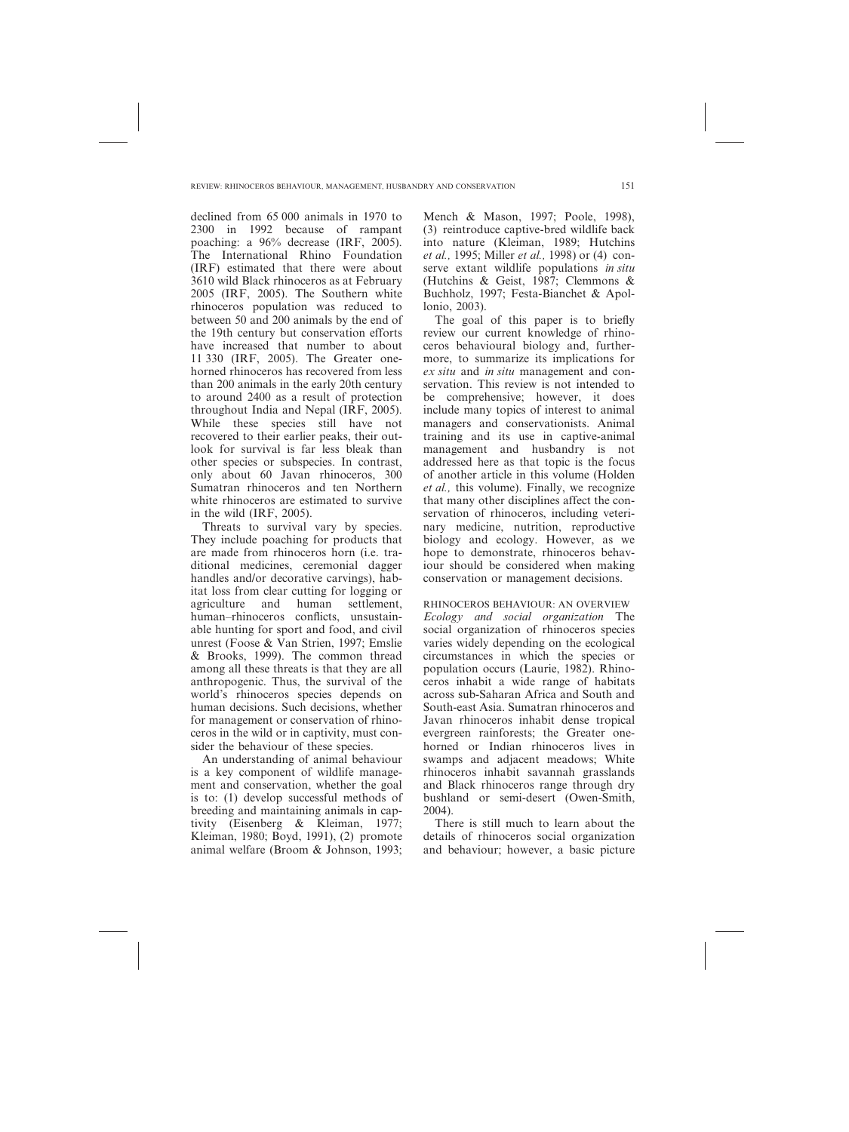declined from 65 000 animals in 1970 to 2300 in 1992 because of rampant poaching: a 96% decrease (IRF, 2005). The International Rhino Foundation (IRF) estimated that there were about 3610 wild Black rhinoceros as at February 2005 (IRF, 2005). The Southern white rhinoceros population was reduced to between 50 and 200 animals by the end of the 19th century but conservation efforts have increased that number to about 11 330 (IRF, 2005). The Greater onehorned rhinoceros has recovered from less than 200 animals in the early 20th century to around 2400 as a result of protection throughout India and Nepal (IRF, 2005). While these species still have not recovered to their earlier peaks, their outlook for survival is far less bleak than other species or subspecies. In contrast, only about 60 Javan rhinoceros, 300 Sumatran rhinoceros and ten Northern white rhinoceros are estimated to survive in the wild (IRF, 2005).

Threats to survival vary by species. They include poaching for products that are made from rhinoceros horn (i.e. traditional medicines, ceremonial dagger handles and/or decorative carvings), habitat loss from clear cutting for logging or agriculture and human settlement, human–rhinoceros conflicts, unsustainable hunting for sport and food, and civil unrest (Foose & Van Strien, 1997; Emslie & Brooks, 1999). The common thread among all these threats is that they are all anthropogenic. Thus, the survival of the world's rhinoceros species depends on human decisions. Such decisions, whether for management or conservation of rhinoceros in the wild or in captivity, must consider the behaviour of these species.

An understanding of animal behaviour is a key component of wildlife management and conservation, whether the goal is to: (1) develop successful methods of breeding and maintaining animals in captivity (Eisenberg & Kleiman, 1977; Kleiman, 1980; Boyd, 1991), (2) promote animal welfare (Broom & Johnson, 1993; Mench & Mason, 1997; Poole, 1998), (3) reintroduce captive-bred wildlife back into nature (Kleiman, 1989; Hutchins *et al.,* 1995; Miller *et al.,* 1998) or (4) conserve extant wildlife populations *in situ* (Hutchins & Geist, 1987; Clemmons & Buchholz, 1997; Festa-Bianchet & Apollonio, 2003).

The goal of this paper is to briefly review our current knowledge of rhinoceros behavioural biology and, furthermore, to summarize its implications for *ex situ* and *in situ* management and conservation. This review is not intended to be comprehensive; however, it does include many topics of interest to animal managers and conservationists. Animal training and its use in captive-animal management and husbandry is not addressed here as that topic is the focus of another article in this volume (Holden *et al.,* this volume). Finally, we recognize that many other disciplines affect the conservation of rhinoceros, including veterinary medicine, nutrition, reproductive biology and ecology. However, as we hope to demonstrate, rhinoceros behaviour should be considered when making conservation or management decisions.

RHINOCEROS BEHAVIOUR: AN OVERVIEW *Ecology and social organization* The social organization of rhinoceros species varies widely depending on the ecological circumstances in which the species or population occurs (Laurie, 1982). Rhinoceros inhabit a wide range of habitats across sub-Saharan Africa and South and South-east Asia. Sumatran rhinoceros and Javan rhinoceros inhabit dense tropical evergreen rainforests; the Greater onehorned or Indian rhinoceros lives in swamps and adjacent meadows; White rhinoceros inhabit savannah grasslands and Black rhinoceros range through dry bushland or semi-desert (Owen-Smith, 2004).

There is still much to learn about the details of rhinoceros social organization and behaviour; however, a basic picture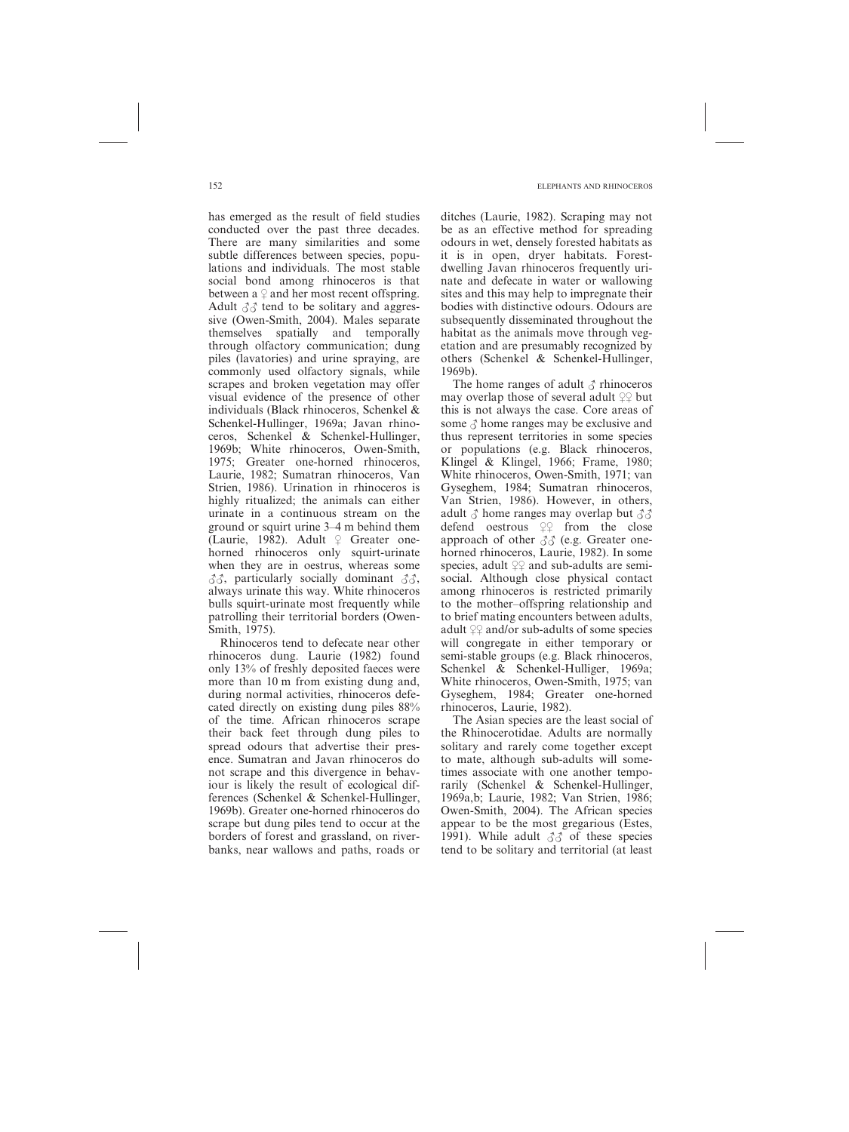has emerged as the result of field studies conducted over the past three decades. There are many similarities and some subtle differences between species, populations and individuals. The most stable social bond among rhinoceros is that between a  $\varphi$  and her most recent offspring. Adult  $\delta \delta$  tend to be solitary and aggressive (Owen-Smith, 2004). Males separate themselves spatially and temporally through olfactory communication; dung piles (lavatories) and urine spraying, are commonly used olfactory signals, while scrapes and broken vegetation may offer visual evidence of the presence of other individuals (Black rhinoceros, Schenkel & Schenkel-Hullinger, 1969a; Javan rhinoceros, Schenkel & Schenkel-Hullinger, 1969b; White rhinoceros, Owen-Smith, 1975; Greater one-horned rhinoceros, Laurie, 1982; Sumatran rhinoceros, Van Strien, 1986). Urination in rhinoceros is highly ritualized; the animals can either urinate in a continuous stream on the ground or squirt urine 3–4 m behind them (Laurie, 1982). Adult  $\varphi$  Greater onehorned rhinoceros only squirt-urinate when they are in oestrus, whereas some  $\Im \Im$ , particularly socially dominant  $\Im \Im$ , always urinate this way. White rhinoceros bulls squirt-urinate most frequently while patrolling their territorial borders (Owen-Smith, 1975).

Rhinoceros tend to defecate near other rhinoceros dung. Laurie (1982) found only 13% of freshly deposited faeces were more than 10 m from existing dung and, during normal activities, rhinoceros defecated directly on existing dung piles 88% of the time. African rhinoceros scrape their back feet through dung piles to spread odours that advertise their presence. Sumatran and Javan rhinoceros do not scrape and this divergence in behaviour is likely the result of ecological differences (Schenkel & Schenkel-Hullinger, 1969b). Greater one-horned rhinoceros do scrape but dung piles tend to occur at the borders of forest and grassland, on riverbanks, near wallows and paths, roads or ditches (Laurie, 1982). Scraping may not be as an effective method for spreading odours in wet, densely forested habitats as it is in open, dryer habitats. Forestdwelling Javan rhinoceros frequently urinate and defecate in water or wallowing sites and this may help to impregnate their bodies with distinctive odours. Odours are subsequently disseminated throughout the habitat as the animals move through vegetation and are presumably recognized by others (Schenkel & Schenkel-Hullinger, 1969b).

The home ranges of adult  $\delta$  rhinoceros may overlap those of several adult  $\mathcal{Q} \mathcal{Q}$  but this is not always the case. Core areas of some  $\delta$  home ranges may be exclusive and thus represent territories in some species or populations (e.g. Black rhinoceros, Klingel & Klingel, 1966; Frame, 1980; White rhinoceros, Owen-Smith, 1971; van Gyseghem, 1984; Sumatran rhinoceros, Van Strien, 1986). However, in others, adult  $\beta$  home ranges may overlap but  $\beta\beta$ defend oestrous  $\mathcal{Q} \mathcal{Q}$  from the close approach of other  $\Im\Im$  (e.g. Greater onehorned rhinoceros, Laurie, 1982). In some species, adult  $\mathcal{Q}$  and sub-adults are semisocial. Although close physical contact among rhinoceros is restricted primarily to the mother–offspring relationship and to brief mating encounters between adults, adult  $\mathcal{Q}$  and/or sub-adults of some species will congregate in either temporary or semi-stable groups (e.g. Black rhinoceros, Schenkel & Schenkel-Hulliger, 1969a; White rhinoceros, Owen-Smith, 1975; van Gyseghem, 1984; Greater one-horned rhinoceros, Laurie, 1982).

The Asian species are the least social of the Rhinocerotidae. Adults are normally solitary and rarely come together except to mate, although sub-adults will sometimes associate with one another temporarily (Schenkel & Schenkel-Hullinger, 1969a,b; Laurie, 1982; Van Strien, 1986; Owen-Smith, 2004). The African species appear to be the most gregarious (Estes, 1991). While adult  $\Im \Im$  of these species tend to be solitary and territorial (at least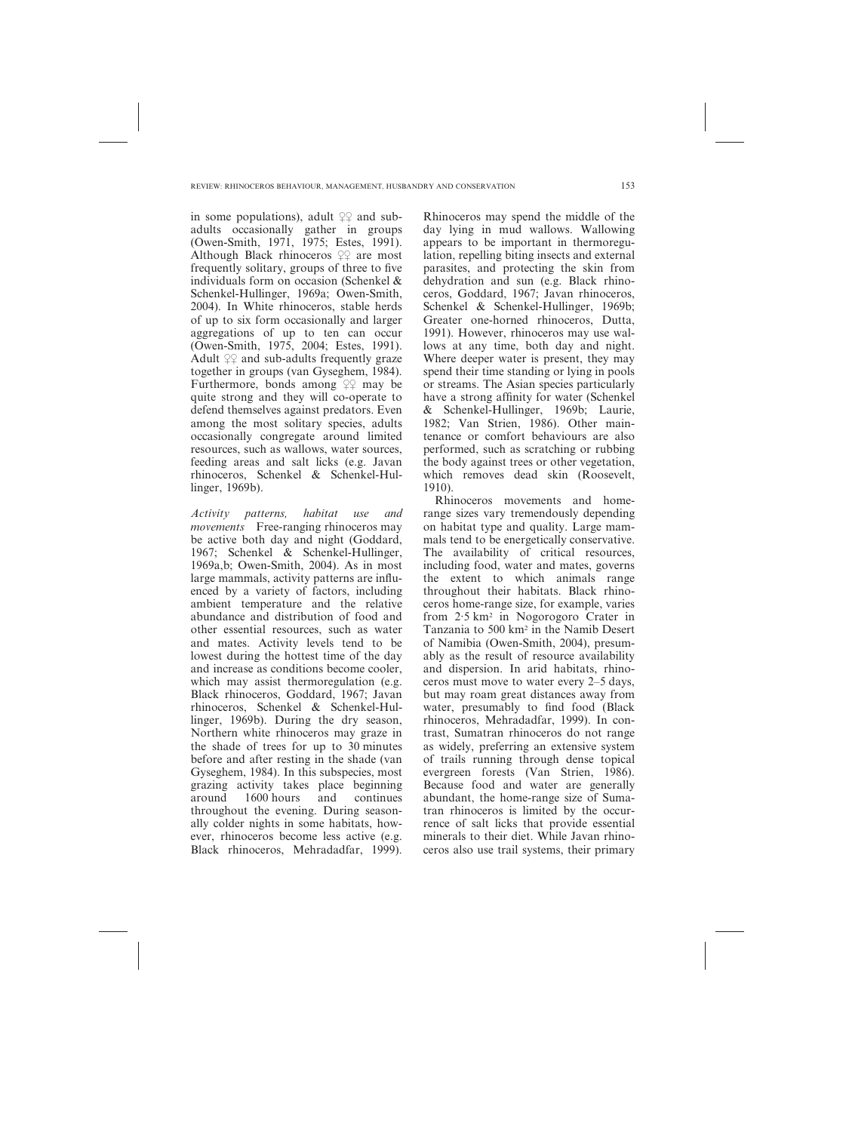in some populations), adult  $\mathcal{Q}$  and subadults occasionally gather in groups (Owen-Smith, 1971, 1975; Estes, 1991). Although Black rhinoceros  $\mathcal{Q}$  are most frequently solitary, groups of three to five individuals form on occasion (Schenkel & Schenkel-Hullinger, 1969a; Owen-Smith, 2004). In White rhinoceros, stable herds of up to six form occasionally and larger aggregations of up to ten can occur (Owen-Smith, 1975, 2004; Estes, 1991). Adult  $\varphi$  and sub-adults frequently graze together in groups (van Gyseghem, 1984). Furthermore, bonds among  $\varphi$  may be quite strong and they will co-operate to defend themselves against predators. Even among the most solitary species, adults occasionally congregate around limited resources, such as wallows, water sources, feeding areas and salt licks (e.g. Javan rhinoceros, Schenkel & Schenkel-Hullinger, 1969b).

*Activity patterns, habitat use and movements* Free-ranging rhinoceros may be active both day and night (Goddard, 1967; Schenkel & Schenkel-Hullinger, 1969a,b; Owen-Smith, 2004). As in most large mammals, activity patterns are influenced by a variety of factors, including ambient temperature and the relative abundance and distribution of food and other essential resources, such as water and mates. Activity levels tend to be lowest during the hottest time of the day and increase as conditions become cooler, which may assist thermoregulation (e.g. Black rhinoceros, Goddard, 1967; Javan rhinoceros, Schenkel & Schenkel-Hullinger, 1969b). During the dry season, Northern white rhinoceros may graze in the shade of trees for up to 30 minutes before and after resting in the shade (van Gyseghem, 1984). In this subspecies, most grazing activity takes place beginning around 1600 hours and continues throughout the evening. During seasonally colder nights in some habitats, however, rhinoceros become less active (e.g. Black rhinoceros, Mehradadfar, 1999). Rhinoceros may spend the middle of the day lying in mud wallows. Wallowing appears to be important in thermoregulation, repelling biting insects and external parasites, and protecting the skin from dehydration and sun (e.g. Black rhinoceros, Goddard, 1967; Javan rhinoceros, Schenkel & Schenkel-Hullinger, 1969b; Greater one-horned rhinoceros, Dutta, 1991). However, rhinoceros may use wallows at any time, both day and night. Where deeper water is present, they may spend their time standing or lying in pools or streams. The Asian species particularly have a strong affinity for water (Schenkel & Schenkel-Hullinger, 1969b; Laurie, 1982; Van Strien, 1986). Other maintenance or comfort behaviours are also performed, such as scratching or rubbing the body against trees or other vegetation, which removes dead skin (Roosevelt, 1910).

Rhinoceros movements and homerange sizes vary tremendously depending on habitat type and quality. Large mammals tend to be energetically conservative. The availability of critical resources, including food, water and mates, governs the extent to which animals range throughout their habitats. Black rhinoceros home-range size, for example, varies from 2·5 km2 in Nogorogoro Crater in Tanzania to 500 km2 in the Namib Desert of Namibia (Owen-Smith, 2004), presumably as the result of resource availability and dispersion. In arid habitats, rhinoceros must move to water every 2–5 days, but may roam great distances away from water, presumably to find food (Black rhinoceros, Mehradadfar, 1999). In contrast, Sumatran rhinoceros do not range as widely, preferring an extensive system of trails running through dense topical evergreen forests (Van Strien, 1986). Because food and water are generally abundant, the home-range size of Sumatran rhinoceros is limited by the occurrence of salt licks that provide essential minerals to their diet. While Javan rhinoceros also use trail systems, their primary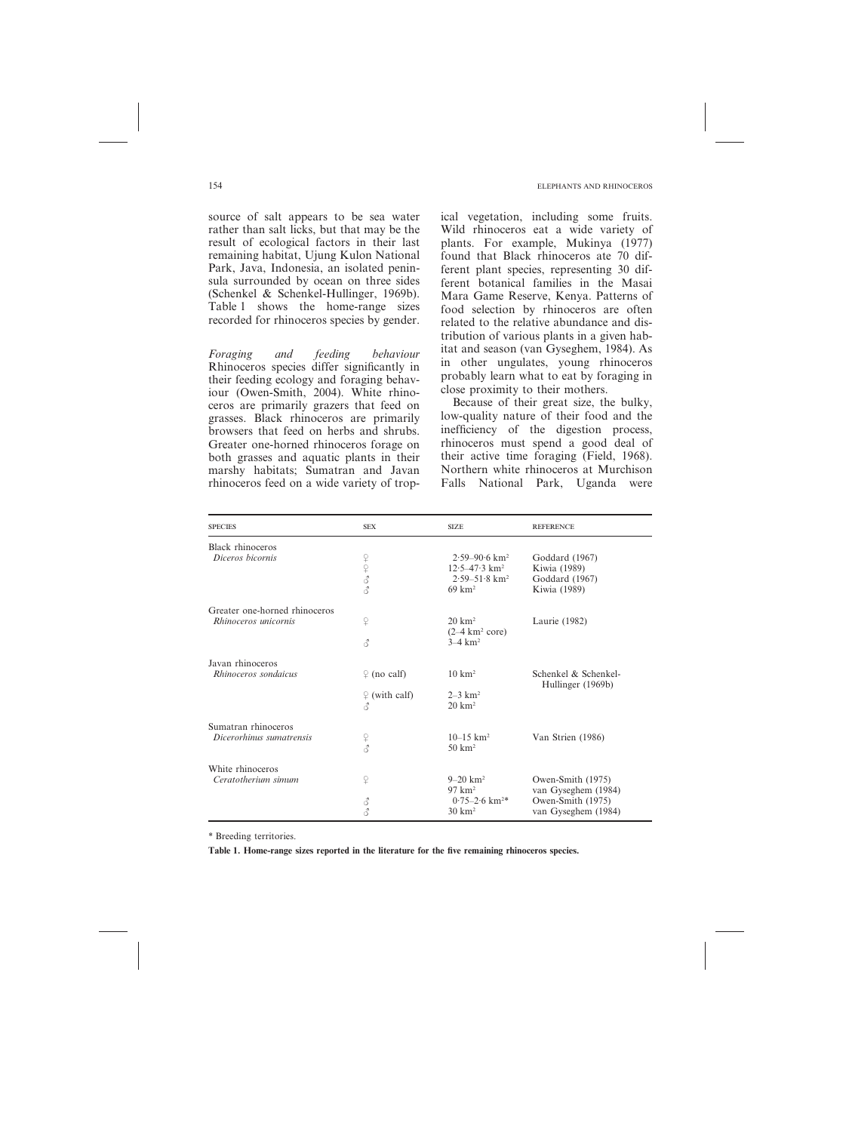source of salt appears to be sea water rather than salt licks, but that may be the result of ecological factors in their last remaining habitat, Ujung Kulon National Park, Java, Indonesia, an isolated peninsula surrounded by ocean on three sides (Schenkel & Schenkel-Hullinger, 1969b). Table 1 shows the home-range sizes recorded for rhinoceros species by gender.

*Foraging and feeding behaviour* Rhinoceros species differ significantly in their feeding ecology and foraging behaviour (Owen-Smith, 2004). White rhinoceros are primarily grazers that feed on grasses. Black rhinoceros are primarily browsers that feed on herbs and shrubs. Greater one-horned rhinoceros forage on both grasses and aquatic plants in their marshy habitats; Sumatran and Javan rhinoceros feed on a wide variety of trop-

ical vegetation, including some fruits. Wild rhinoceros eat a wide variety of plants. For example, Mukinya (1977) found that Black rhinoceros ate 70 different plant species, representing 30 different botanical families in the Masai Mara Game Reserve, Kenya. Patterns of food selection by rhinoceros are often related to the relative abundance and distribution of various plants in a given habitat and season (van Gyseghem, 1984). As in other ungulates, young rhinoceros probably learn what to eat by foraging in close proximity to their mothers.

Because of their great size, the bulky, low-quality nature of their food and the inefficiency of the digestion process, rhinoceros must spend a good deal of their active time foraging (Field, 1968). Northern white rhinoceros at Murchison Falls National Park, Uganda were

| <b>SPECIES</b>                                        | <b>SEX</b>                                        | <b>SIZE</b>                                                                                                          | <b>REFERENCE</b>                                                                     |
|-------------------------------------------------------|---------------------------------------------------|----------------------------------------------------------------------------------------------------------------------|--------------------------------------------------------------------------------------|
| Black rhinoceros<br>Diceros bicornis                  | 94949                                             | $2.59 - 90.6$ km <sup>2</sup><br>$12.5 - 47.3$ km <sup>2</sup><br>$2.59 - 51.8$ km <sup>2</sup><br>$69 \text{ km}^2$ | Goddard (1967)<br>Kiwia (1989)<br>Goddard (1967)<br>Kiwia (1989)                     |
| Greater one-horned rhinoceros<br>Rhinoceros unicornis | ¥<br>3                                            | $20 \text{ km}^2$<br>$(2-4 \text{ km}^2 \text{ core})$<br>$3-4 \text{ km}^2$                                         | Laurie (1982)                                                                        |
| Javan rhinoceros<br>Rhinoceros sondaicus              | $\varphi$ (no calf)<br>$\varphi$ (with calf)<br>3 | $10 \text{ km}^2$<br>$2 - 3 km2$<br>$20 \text{ km}^2$                                                                | Schenkel & Schenkel-<br>Hullinger (1969b)                                            |
| Sumatran rhinoceros<br>Dicerorhinus sumatrensis       | $\frac{1}{2}$                                     | $10-15$ km <sup>2</sup><br>$50 \text{ km}^2$                                                                         | Van Strien (1986)                                                                    |
| White rhinoceros<br>Ceratotherium simum               | ¥<br>33                                           | $9 - 20$ km <sup>2</sup><br>$97 \text{ km}^2$<br>$0.75 - 2.6$ km <sup>2*</sup><br>$30 \text{ km}^2$                  | Owen-Smith (1975)<br>van Gyseghem (1984)<br>Owen-Smith (1975)<br>van Gyseghem (1984) |

\* Breeding territories.

**Table 1. Home-range sizes reported in the literature for the five remaining rhinoceros species.**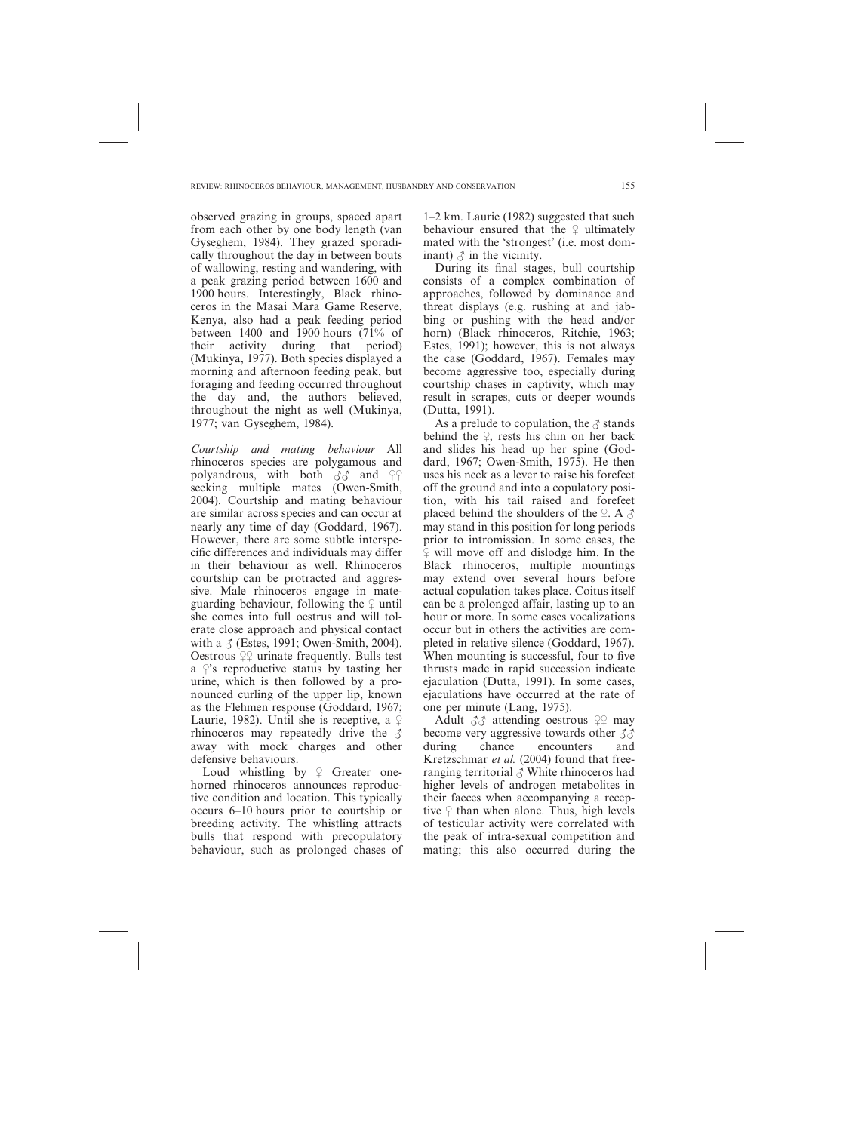observed grazing in groups, spaced apart from each other by one body length (van Gyseghem, 1984). They grazed sporadically throughout the day in between bouts of wallowing, resting and wandering, with a peak grazing period between 1600 and 1900 hours. Interestingly, Black rhinoceros in the Masai Mara Game Reserve, Kenya, also had a peak feeding period between 1400 and 1900 hours (71% of their activity during that period) (Mukinya, 1977). Both species displayed a morning and afternoon feeding peak, but foraging and feeding occurred throughout the day and, the authors believed, throughout the night as well (Mukinya, 1977; van Gyseghem, 1984).

*Courtship and mating behaviour* All rhinoceros species are polygamous and polyandrous, with both  $\partial \mathcal{S}$  and  $\varphi$ seeking multiple mates (Owen-Smith, 2004). Courtship and mating behaviour are similar across species and can occur at nearly any time of day (Goddard, 1967). However, there are some subtle interspecific differences and individuals may differ in their behaviour as well. Rhinoceros courtship can be protracted and aggressive. Male rhinoceros engage in mateguarding behaviour, following the  $\varphi$  until she comes into full oestrus and will tolerate close approach and physical contact with a  $\triangle$  (Estes, 1991; Owen-Smith, 2004). Oestrous  $\mathcal{Q}$  urinate frequently. Bulls test a  $\varphi$ 's reproductive status by tasting her urine, which is then followed by a pronounced curling of the upper lip, known as the Flehmen response (Goddard, 1967; Laurie, 1982). Until she is receptive, a  $\varphi$ rhinoceros may repeatedly drive the  $\delta$ away with mock charges and other defensive behaviours.

Loud whistling by  $\varphi$  Greater onehorned rhinoceros announces reproductive condition and location. This typically occurs 6–10 hours prior to courtship or breeding activity. The whistling attracts bulls that respond with precopulatory behaviour, such as prolonged chases of

1–2 km. Laurie (1982) suggested that such behaviour ensured that the  $\varphi$  ultimately mated with the 'strongest' (i.e. most dominant)  $\delta$  in the vicinity.

During its final stages, bull courtship consists of a complex combination of approaches, followed by dominance and threat displays (e.g. rushing at and jabbing or pushing with the head and/or horn) (Black rhinoceros, Ritchie, 1963; Estes, 1991); however, this is not always the case (Goddard, 1967). Females may become aggressive too, especially during courtship chases in captivity, which may result in scrapes, cuts or deeper wounds (Dutta, 1991).

As a prelude to copulation, the  $\delta$  stands behind the  $\varphi$ , rests his chin on her back and slides his head up her spine (Goddard, 1967; Owen-Smith, 1975). He then uses his neck as a lever to raise his forefeet off the ground and into a copulatory position, with his tail raised and forefeet placed behind the shoulders of the  $\varphi$ . A  $\varphi$ may stand in this position for long periods prior to intromission. In some cases, the  $\frac{1}{2}$  will move off and dislodge him. In the Black rhinoceros, multiple mountings may extend over several hours before actual copulation takes place. Coitus itself can be a prolonged affair, lasting up to an hour or more. In some cases vocalizations occur but in others the activities are completed in relative silence (Goddard, 1967). When mounting is successful, four to five thrusts made in rapid succession indicate ejaculation (Dutta, 1991). In some cases, ejaculations have occurred at the rate of one per minute (Lang, 1975).

Adult  $\Im \Im$  attending oestrous  $\Im \Im$  may become very aggressive towards other  $\delta\delta$ during chance encounters and Kretzschmar *et al.* (2004) found that freeranging territorial  $\delta$  White rhinoceros had higher levels of androgen metabolites in their faeces when accompanying a receptive  $\varphi$  than when alone. Thus, high levels of testicular activity were correlated with the peak of intra-sexual competition and mating; this also occurred during the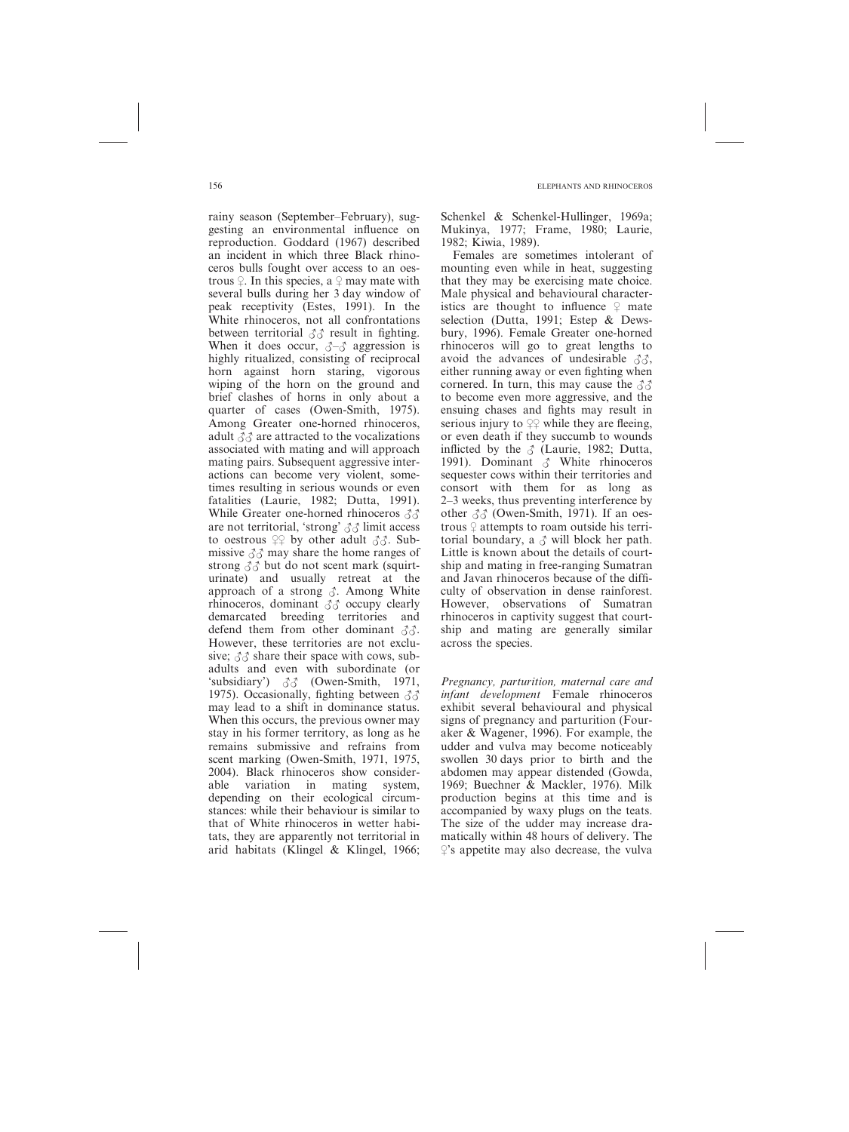rainy season (September–February), suggesting an environmental influence on reproduction. Goddard (1967) described an incident in which three Black rhinoceros bulls fought over access to an oestrous  $\varphi$ . In this species, a  $\varphi$  may mate with several bulls during her 3 day window of peak receptivity (Estes, 1991). In the White rhinoceros, not all confrontations between territorial  $\Im \Im$  result in fighting. When it does occur,  $\partial-\partial$  aggression is highly ritualized, consisting of reciprocal horn against horn staring, vigorous wiping of the horn on the ground and brief clashes of horns in only about a quarter of cases (Owen-Smith, 1975). Among Greater one-horned rhinoceros, adult  $\Im \Im$  are attracted to the vocalizations associated with mating and will approach mating pairs. Subsequent aggressive interactions can become very violent, sometimes resulting in serious wounds or even fatalities (Laurie, 1982; Dutta, 1991). While Greater one-horned rhinoceros  $\Im$ are not territorial, 'strong'  $\Im \Im$  limit access to oestrous  $\varphi \varphi$  by other adult  $\partial \varphi$ . Submissive  $\Im \Im$  may share the home ranges of strong  $\Im \Im$  but do not scent mark (squirturinate) and usually retreat at the approach of a strong  $\Im$ . Among White rhinoceros, dominant  $\Im \Im$  occupy clearly demarcated breeding territories and defend them from other dominant  $\partial \mathcal{L}$ . However, these territories are not exclusive;  $\Im \Im$  share their space with cows, subadults and even with subordinate (or 'subsidiary') -- (Owen-Smith, 1971, 1975). Occasionally, fighting between  $\delta\delta$ may lead to a shift in dominance status. When this occurs, the previous owner may stay in his former territory, as long as he remains submissive and refrains from scent marking (Owen-Smith, 1971, 1975, 2004). Black rhinoceros show considerable variation in mating system, depending on their ecological circumstances: while their behaviour is similar to that of White rhinoceros in wetter habitats, they are apparently not territorial in arid habitats (Klingel & Klingel, 1966;

1982; Kiwia, 1989). Females are sometimes intolerant of mounting even while in heat, suggesting that they may be exercising mate choice. Male physical and behavioural characteristics are thought to influence  $\varphi$  mate selection (Dutta, 1991; Estep & Dewsbury, 1996). Female Greater one-horned rhinoceros will go to great lengths to avoid the advances of undesirable  $\delta \delta$ , either running away or even fighting when cornered. In turn, this may cause the  $\delta\delta$ to become even more aggressive, and the ensuing chases and fights may result in serious injury to  $\mathcal{Q} \mathcal{Q}$  while they are fleeing, or even death if they succumb to wounds inflicted by the  $\delta$  (Laurie, 1982; Dutta, 1991). Dominant  $\delta$  White rhinoceros sequester cows within their territories and consort with them for as long as 2–3 weeks, thus preventing interference by other  $\Im \Im$  (Owen-Smith, 1971). If an oestrous  $\varphi$  attempts to roam outside his territorial boundary, a  $\delta$  will block her path. Little is known about the details of courtship and mating in free-ranging Sumatran and Javan rhinoceros because of the difficulty of observation in dense rainforest. However, observations of Sumatran rhinoceros in captivity suggest that courtship and mating are generally similar across the species.

*Pregnancy, parturition, maternal care and infant development* Female rhinoceros exhibit several behavioural and physical signs of pregnancy and parturition (Fouraker & Wagener, 1996). For example, the udder and vulva may become noticeably swollen 30 days prior to birth and the abdomen may appear distended (Gowda, 1969; Buechner & Mackler, 1976). Milk production begins at this time and is accompanied by waxy plugs on the teats. The size of the udder may increase dramatically within 48 hours of delivery. The  $\mathcal{L}'$ 's appetite may also decrease, the vulva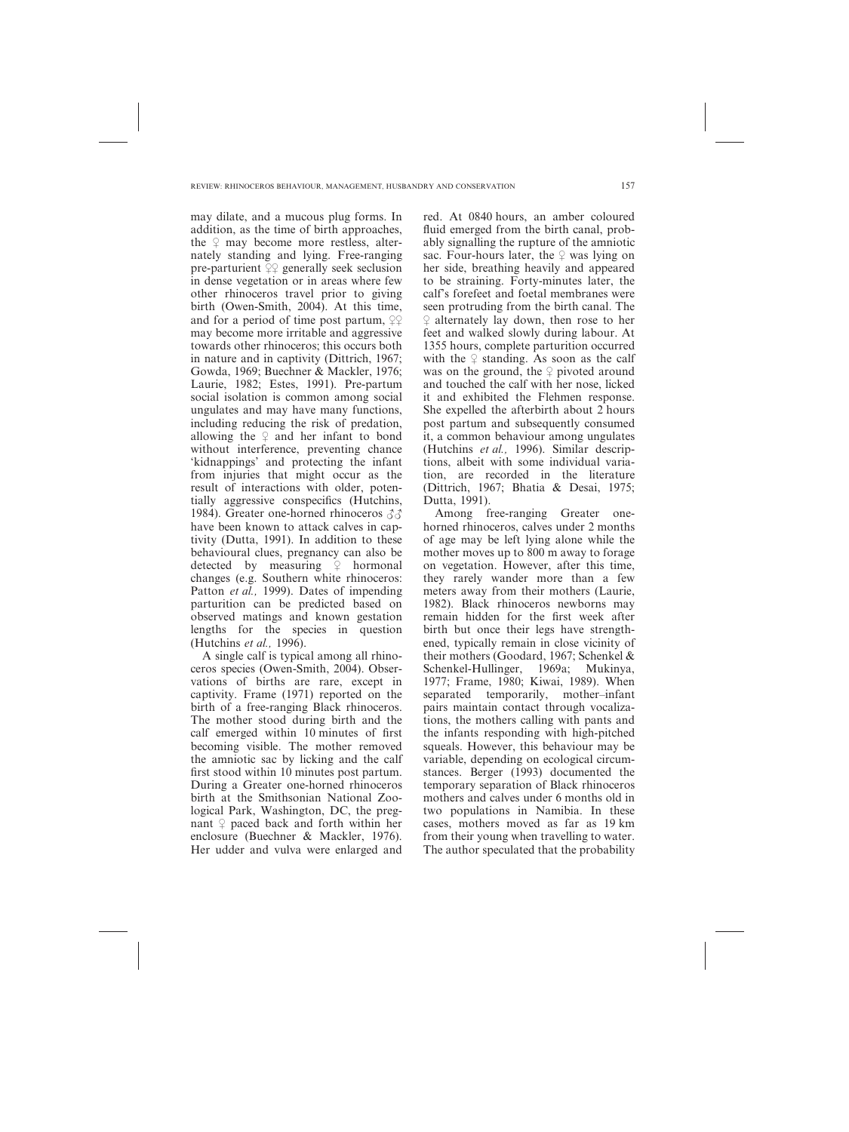may dilate, and a mucous plug forms. In addition, as the time of birth approaches, the  $\varphi$  may become more restless, alternately standing and lying. Free-ranging pre-parturient  $\mathcal{Q} \mathcal{Q}$  generally seek seclusion in dense vegetation or in areas where few other rhinoceros travel prior to giving birth (Owen-Smith, 2004). At this time, and for a period of time post partum,  $\varphi$ may become more irritable and aggressive towards other rhinoceros; this occurs both in nature and in captivity (Dittrich, 1967; Gowda, 1969; Buechner & Mackler, 1976; Laurie, 1982; Estes, 1991). Pre-partum social isolation is common among social ungulates and may have many functions, including reducing the risk of predation, allowing the  $\varphi$  and her infant to bond without interference, preventing chance 'kidnappings' and protecting the infant from injuries that might occur as the result of interactions with older, potentially aggressive conspecifics (Hutchins, 1984). Greater one-horned rhinoceros  $\Im$ have been known to attack calves in captivity (Dutta, 1991). In addition to these behavioural clues, pregnancy can also be detected by measuring  $\varphi$  hormonal changes (e.g. Southern white rhinoceros: Patton *et al.,* 1999). Dates of impending parturition can be predicted based on observed matings and known gestation lengths for the species in question (Hutchins *et al.,* 1996).

A single calf is typical among all rhinoceros species (Owen-Smith, 2004). Observations of births are rare, except in captivity. Frame (1971) reported on the birth of a free-ranging Black rhinoceros. The mother stood during birth and the calf emerged within 10 minutes of first becoming visible. The mother removed the amniotic sac by licking and the calf first stood within 10 minutes post partum. During a Greater one-horned rhinoceros birth at the Smithsonian National Zoological Park, Washington, DC, the pregnant  $\varphi$  paced back and forth within her enclosure (Buechner & Mackler, 1976). Her udder and vulva were enlarged and red. At 0840 hours, an amber coloured fluid emerged from the birth canal, probably signalling the rupture of the amniotic sac. Four-hours later, the  $\varphi$  was lying on her side, breathing heavily and appeared to be straining. Forty-minutes later, the calf's forefeet and foetal membranes were seen protruding from the birth canal. The  $\varphi$  alternately lay down, then rose to her feet and walked slowly during labour. At 1355 hours, complete parturition occurred with the  $\varphi$  standing. As soon as the calf was on the ground, the  $\varphi$  pivoted around and touched the calf with her nose, licked it and exhibited the Flehmen response. She expelled the afterbirth about 2 hours post partum and subsequently consumed it, a common behaviour among ungulates (Hutchins *et al.,* 1996). Similar descriptions, albeit with some individual variation, are recorded in the literature (Dittrich, 1967; Bhatia & Desai, 1975; Dutta, 1991).

Among free-ranging Greater onehorned rhinoceros, calves under 2 months of age may be left lying alone while the mother moves up to 800 m away to forage on vegetation. However, after this time, they rarely wander more than a few meters away from their mothers (Laurie, 1982). Black rhinoceros newborns may remain hidden for the first week after birth but once their legs have strengthened, typically remain in close vicinity of their mothers (Goodard, 1967; Schenkel & Schenkel-Hullinger, 1969a; Mukinya, 1977; Frame, 1980; Kiwai, 1989). When separated temporarily, mother–infant pairs maintain contact through vocalizations, the mothers calling with pants and the infants responding with high-pitched squeals. However, this behaviour may be variable, depending on ecological circumstances. Berger (1993) documented the temporary separation of Black rhinoceros mothers and calves under 6 months old in two populations in Namibia. In these cases, mothers moved as far as 19 km from their young when travelling to water. The author speculated that the probability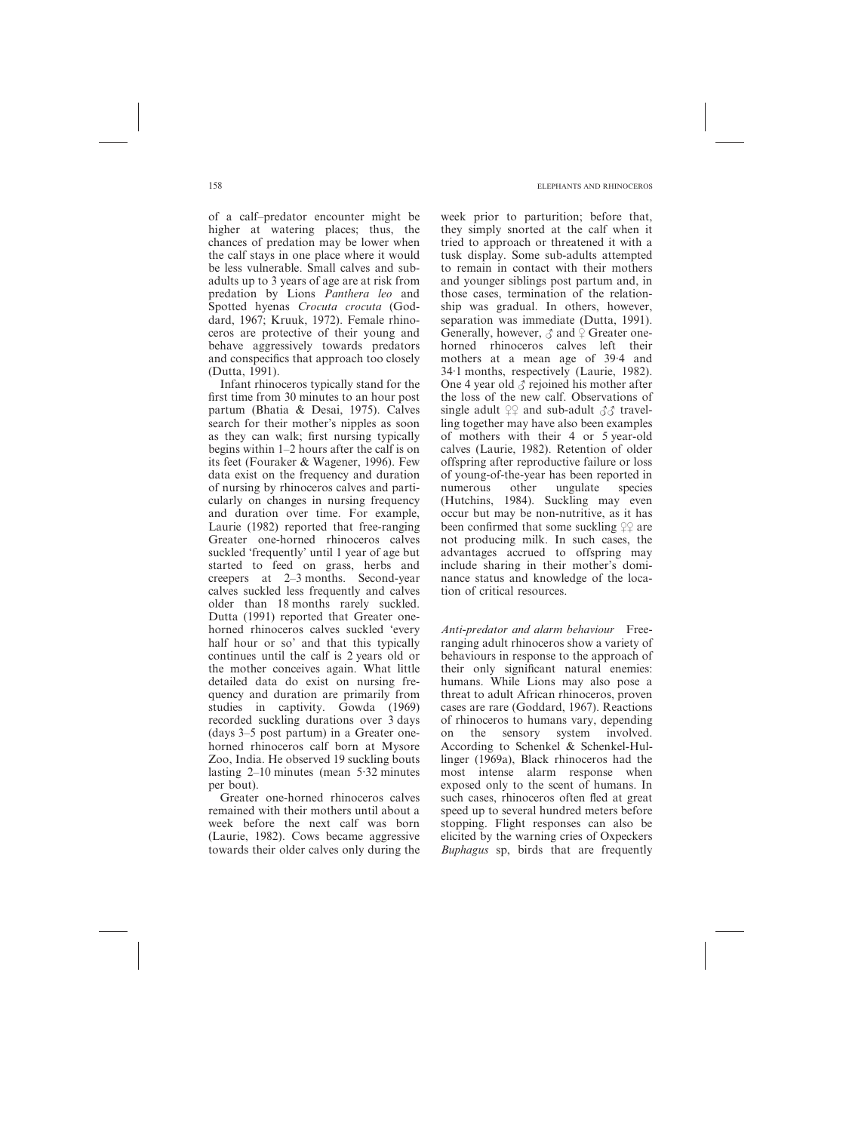of a calf–predator encounter might be higher at watering places; thus, the chances of predation may be lower when the calf stays in one place where it would be less vulnerable. Small calves and subadults up to 3 years of age are at risk from predation by Lions *Panthera leo* and Spotted hyenas *Crocuta crocuta* (God-

dard, 1967; Kruuk, 1972). Female rhinoceros are protective of their young and behave aggressively towards predators and conspecifics that approach too closely (Dutta, 1991).

Infant rhinoceros typically stand for the first time from 30 minutes to an hour post partum (Bhatia & Desai, 1975). Calves search for their mother's nipples as soon as they can walk; first nursing typically begins within 1–2 hours after the calf is on its feet (Fouraker & Wagener, 1996). Few data exist on the frequency and duration of nursing by rhinoceros calves and particularly on changes in nursing frequency and duration over time. For example, Laurie (1982) reported that free-ranging Greater one-horned rhinoceros calves suckled 'frequently' until 1 year of age but started to feed on grass, herbs and creepers at 2–3 months. Second-year calves suckled less frequently and calves older than 18 months rarely suckled. Dutta (1991) reported that Greater onehorned rhinoceros calves suckled 'every half hour or so' and that this typically continues until the calf is 2 years old or the mother conceives again. What little detailed data do exist on nursing frequency and duration are primarily from studies in captivity. Gowda (1969) recorded suckling durations over 3 days (days 3–5 post partum) in a Greater onehorned rhinoceros calf born at Mysore Zoo, India. He observed 19 suckling bouts lasting 2–10 minutes (mean 5·32 minutes per bout).

Greater one-horned rhinoceros calves remained with their mothers until about a week before the next calf was born (Laurie, 1982). Cows became aggressive towards their older calves only during the week prior to parturition; before that, they simply snorted at the calf when it tried to approach or threatened it with a tusk display. Some sub-adults attempted to remain in contact with their mothers and younger siblings post partum and, in those cases, termination of the relationship was gradual. In others, however, separation was immediate (Dutta, 1991). Generally, however,  $\beta$  and  $\beta$  Greater onehorned rhinoceros calves left their mothers at a mean age of 39·4 and 34·1 months, respectively (Laurie, 1982). One 4 year old  $\delta$  rejoined his mother after the loss of the new calf. Observations of single adult  $\varphi$  and sub-adult  $\varphi$  travelling together may have also been examples of mothers with their 4 or 5 year-old calves (Laurie, 1982). Retention of older offspring after reproductive failure or loss of young-of-the-year has been reported in numerous other ungulate species (Hutchins, 1984). Suckling may even occur but may be non-nutritive, as it has been confirmed that some suckling  $\mathcal{Q} \mathcal{Q}$  are not producing milk. In such cases, the advantages accrued to offspring may include sharing in their mother's dominance status and knowledge of the location of critical resources.

*Anti-predator and alarm behaviour* Freeranging adult rhinoceros show a variety of behaviours in response to the approach of their only significant natural enemies: humans. While Lions may also pose a threat to adult African rhinoceros, proven cases are rare (Goddard, 1967). Reactions of rhinoceros to humans vary, depending on the sensory system involved. According to Schenkel & Schenkel-Hullinger (1969a), Black rhinoceros had the most intense alarm response when exposed only to the scent of humans. In such cases, rhinoceros often fled at great speed up to several hundred meters before stopping. Flight responses can also be elicited by the warning cries of Oxpeckers *Buphagus* sp, birds that are frequently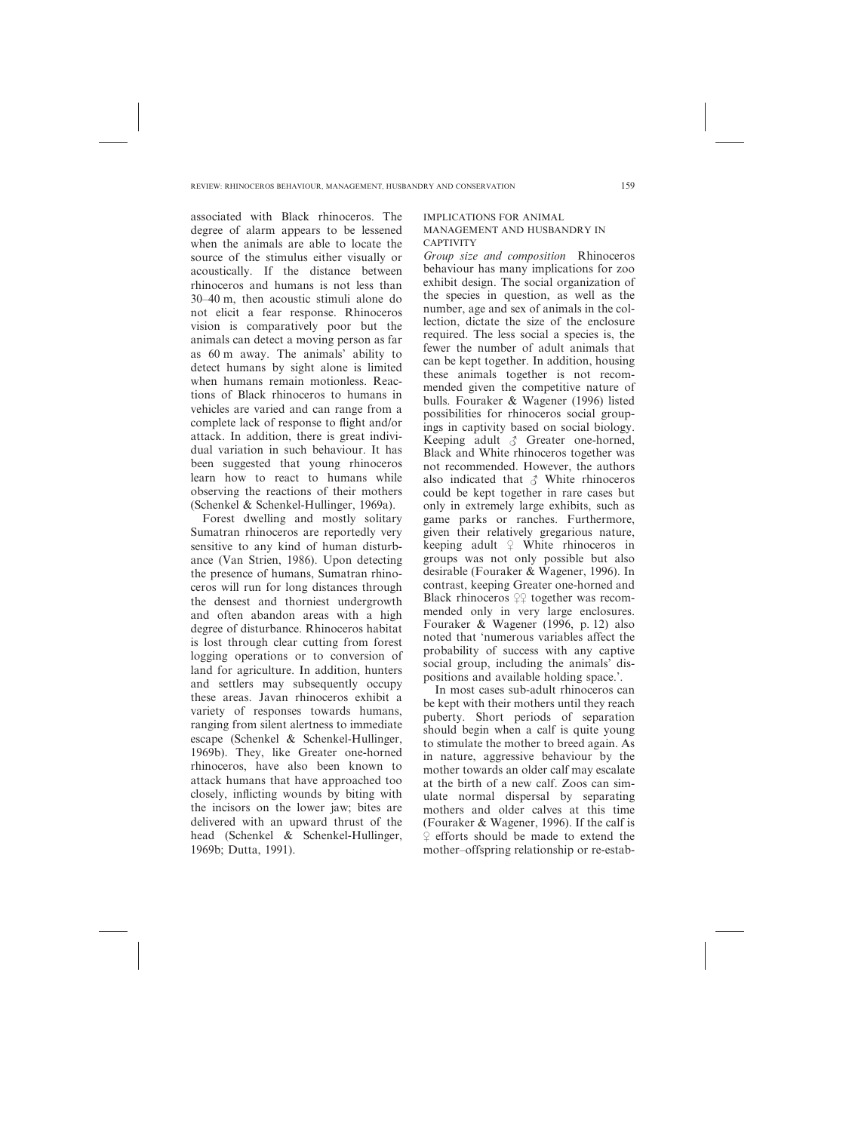associated with Black rhinoceros. The degree of alarm appears to be lessened when the animals are able to locate the source of the stimulus either visually or acoustically. If the distance between rhinoceros and humans is not less than 30–40 m, then acoustic stimuli alone do not elicit a fear response. Rhinoceros vision is comparatively poor but the animals can detect a moving person as far as 60 m away. The animals' ability to detect humans by sight alone is limited when humans remain motionless. Reactions of Black rhinoceros to humans in vehicles are varied and can range from a complete lack of response to flight and/or attack. In addition, there is great individual variation in such behaviour. It has been suggested that young rhinoceros learn how to react to humans while observing the reactions of their mothers (Schenkel & Schenkel-Hullinger, 1969a).

Forest dwelling and mostly solitary Sumatran rhinoceros are reportedly very sensitive to any kind of human disturbance (Van Strien, 1986). Upon detecting the presence of humans, Sumatran rhinoceros will run for long distances through the densest and thorniest undergrowth and often abandon areas with a high degree of disturbance. Rhinoceros habitat is lost through clear cutting from forest logging operations or to conversion of land for agriculture. In addition, hunters and settlers may subsequently occupy these areas. Javan rhinoceros exhibit a variety of responses towards humans, ranging from silent alertness to immediate escape (Schenkel & Schenkel-Hullinger, 1969b). They, like Greater one-horned rhinoceros, have also been known to attack humans that have approached too closely, inflicting wounds by biting with the incisors on the lower jaw; bites are delivered with an upward thrust of the head (Schenkel & Schenkel-Hullinger, 1969b; Dutta, 1991).

# IMPLICATIONS FOR ANIMAL MANAGEMENT AND HUSBANDRY IN **CAPTIVITY**

*Group size and composition* Rhinoceros behaviour has many implications for zoo exhibit design. The social organization of the species in question, as well as the number, age and sex of animals in the collection, dictate the size of the enclosure required. The less social a species is, the fewer the number of adult animals that can be kept together. In addition, housing these animals together is not recommended given the competitive nature of bulls. Fouraker & Wagener (1996) listed possibilities for rhinoceros social groupings in captivity based on social biology. Keeping adult  $\delta$  Greater one-horned, Black and White rhinoceros together was not recommended. However, the authors also indicated that  $\delta$  White rhinoceros could be kept together in rare cases but only in extremely large exhibits, such as game parks or ranches. Furthermore, given their relatively gregarious nature, keeping adult  $\varphi$  White rhinoceros in groups was not only possible but also desirable (Fouraker & Wagener, 1996). In contrast, keeping Greater one-horned and Black rhinoceros  $\varphi$  together was recommended only in very large enclosures. Fouraker & Wagener (1996, p. 12) also noted that 'numerous variables affect the probability of success with any captive social group, including the animals' dispositions and available holding space.'.

In most cases sub-adult rhinoceros can be kept with their mothers until they reach puberty. Short periods of separation should begin when a calf is quite young to stimulate the mother to breed again. As in nature, aggressive behaviour by the mother towards an older calf may escalate at the birth of a new calf. Zoos can simulate normal dispersal by separating mothers and older calves at this time (Fouraker & Wagener, 1996). If the calf is  $\varphi$  efforts should be made to extend the mother–offspring relationship or re-estab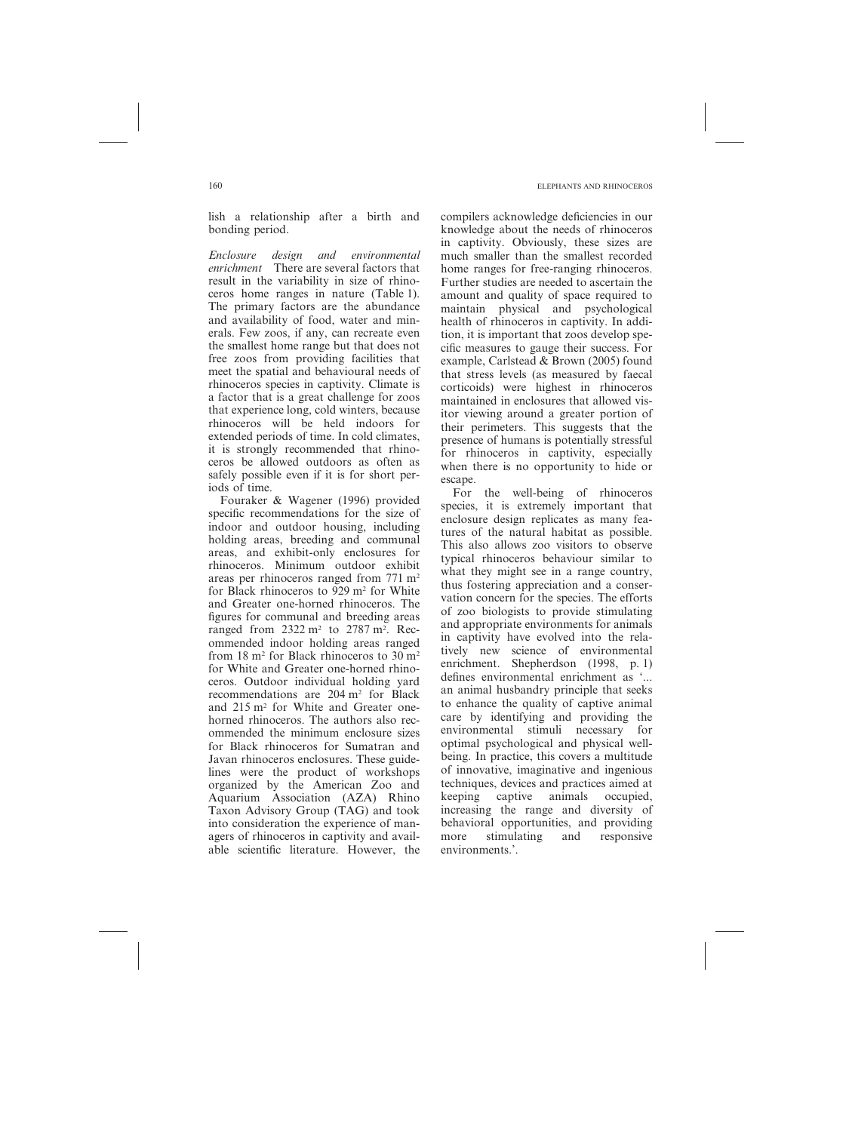lish a relationship after a birth and bonding period.

*Enclosure design and environmental enrichment* There are several factors that result in the variability in size of rhinoceros home ranges in nature (Table 1). The primary factors are the abundance and availability of food, water and minerals. Few zoos, if any, can recreate even the smallest home range but that does not free zoos from providing facilities that meet the spatial and behavioural needs of rhinoceros species in captivity. Climate is a factor that is a great challenge for zoos that experience long, cold winters, because rhinoceros will be held indoors for extended periods of time. In cold climates, it is strongly recommended that rhinoceros be allowed outdoors as often as safely possible even if it is for short periods of time.

Fouraker & Wagener (1996) provided specific recommendations for the size of indoor and outdoor housing, including holding areas, breeding and communal areas, and exhibit-only enclosures for rhinoceros. Minimum outdoor exhibit areas per rhinoceros ranged from 771 m<sup>2</sup> for Black rhinoceros to 929 m<sup>2</sup> for White and Greater one-horned rhinoceros. The figures for communal and breeding areas ranged from  $2322 \text{ m}^2$  to  $2787 \text{ m}^2$ . Recommended indoor holding areas ranged from 18  $m<sup>2</sup>$  for Black rhinoceros to 30  $m<sup>2</sup>$ for White and Greater one-horned rhinoceros. Outdoor individual holding yard recommendations are  $204 \text{ m}^2$  for Black and 215 m2 for White and Greater onehorned rhinoceros. The authors also recommended the minimum enclosure sizes for Black rhinoceros for Sumatran and Javan rhinoceros enclosures. These guidelines were the product of workshops organized by the American Zoo and Aquarium Association (AZA) Rhino Taxon Advisory Group (TAG) and took into consideration the experience of managers of rhinoceros in captivity and available scientific literature. However, the compilers acknowledge deficiencies in our knowledge about the needs of rhinoceros in captivity. Obviously, these sizes are much smaller than the smallest recorded home ranges for free-ranging rhinoceros. Further studies are needed to ascertain the amount and quality of space required to maintain physical and psychological health of rhinoceros in captivity. In addition, it is important that zoos develop specific measures to gauge their success. For example, Carlstead & Brown (2005) found that stress levels (as measured by faecal corticoids) were highest in rhinoceros maintained in enclosures that allowed visitor viewing around a greater portion of their perimeters. This suggests that the presence of humans is potentially stressful for rhinoceros in captivity, especially when there is no opportunity to hide or escape.

For the well-being of rhinoceros species, it is extremely important that enclosure design replicates as many features of the natural habitat as possible. This also allows zoo visitors to observe typical rhinoceros behaviour similar to what they might see in a range country, thus fostering appreciation and a conservation concern for the species. The efforts of zoo biologists to provide stimulating and appropriate environments for animals in captivity have evolved into the relatively new science of environmental enrichment. Shepherdson (1998, p. 1) defines environmental enrichment as '... an animal husbandry principle that seeks to enhance the quality of captive animal care by identifying and providing the environmental stimuli necessary for optimal psychological and physical wellbeing. In practice, this covers a multitude of innovative, imaginative and ingenious techniques, devices and practices aimed at keeping captive animals occupied, increasing the range and diversity of behavioral opportunities, and providing more stimulating and responsive environments.'.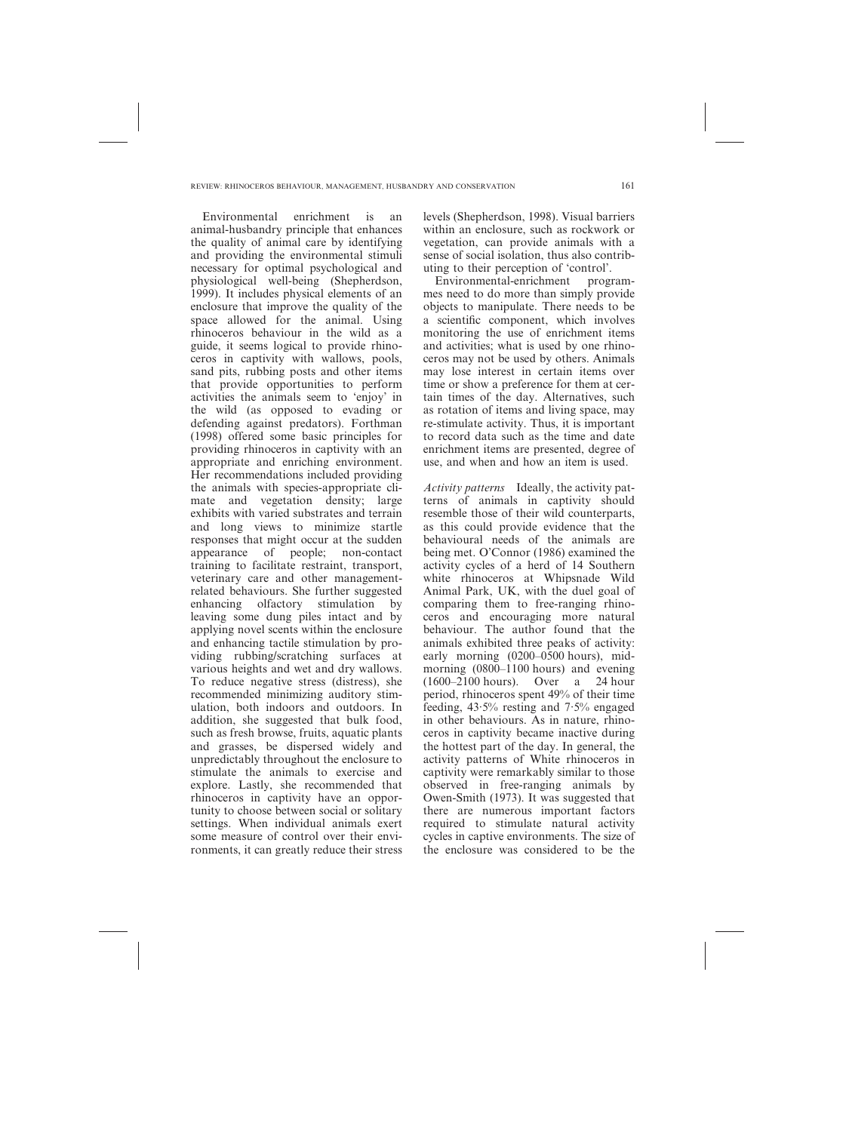Environmental enrichment is an animal-husbandry principle that enhances the quality of animal care by identifying and providing the environmental stimuli necessary for optimal psychological and physiological well-being (Shepherdson, 1999). It includes physical elements of an enclosure that improve the quality of the space allowed for the animal. Using rhinoceros behaviour in the wild as a guide, it seems logical to provide rhinoceros in captivity with wallows, pools, sand pits, rubbing posts and other items that provide opportunities to perform activities the animals seem to 'enjoy' in the wild (as opposed to evading or defending against predators). Forthman (1998) offered some basic principles for providing rhinoceros in captivity with an appropriate and enriching environment. Her recommendations included providing the animals with species-appropriate climate and vegetation density; large exhibits with varied substrates and terrain and long views to minimize startle responses that might occur at the sudden appearance of people; non-contact training to facilitate restraint, transport, veterinary care and other managementrelated behaviours. She further suggested enhancing olfactory stimulation by leaving some dung piles intact and by applying novel scents within the enclosure and enhancing tactile stimulation by providing rubbing/scratching surfaces at various heights and wet and dry wallows. To reduce negative stress (distress), she recommended minimizing auditory stimulation, both indoors and outdoors. In addition, she suggested that bulk food, such as fresh browse, fruits, aquatic plants and grasses, be dispersed widely and unpredictably throughout the enclosure to stimulate the animals to exercise and explore. Lastly, she recommended that rhinoceros in captivity have an opportunity to choose between social or solitary settings. When individual animals exert some measure of control over their environments, it can greatly reduce their stress levels (Shepherdson, 1998). Visual barriers within an enclosure, such as rockwork or vegetation, can provide animals with a sense of social isolation, thus also contributing to their perception of 'control'.

Environmental-enrichment programmes need to do more than simply provide objects to manipulate. There needs to be a scientific component, which involves monitoring the use of enrichment items and activities; what is used by one rhinoceros may not be used by others. Animals may lose interest in certain items over time or show a preference for them at certain times of the day. Alternatives, such as rotation of items and living space, may re-stimulate activity. Thus, it is important to record data such as the time and date enrichment items are presented, degree of use, and when and how an item is used.

*Activity patterns* Ideally, the activity patterns of animals in captivity should resemble those of their wild counterparts, as this could provide evidence that the behavioural needs of the animals are being met. O'Connor (1986) examined the activity cycles of a herd of 14 Southern white rhinoceros at Whipsnade Wild Animal Park, UK, with the duel goal of comparing them to free-ranging rhinoceros and encouraging more natural behaviour. The author found that the animals exhibited three peaks of activity: early morning (0200–0500 hours), midmorning (0800–1100 hours) and evening (1600–2100 hours). Over a 24 hour period, rhinoceros spent 49% of their time feeding,  $43.5\%$  resting and  $7.5\%$  engaged in other behaviours. As in nature, rhinoceros in captivity became inactive during the hottest part of the day. In general, the activity patterns of White rhinoceros in captivity were remarkably similar to those observed in free-ranging animals by Owen-Smith (1973). It was suggested that there are numerous important factors required to stimulate natural activity cycles in captive environments. The size of the enclosure was considered to be the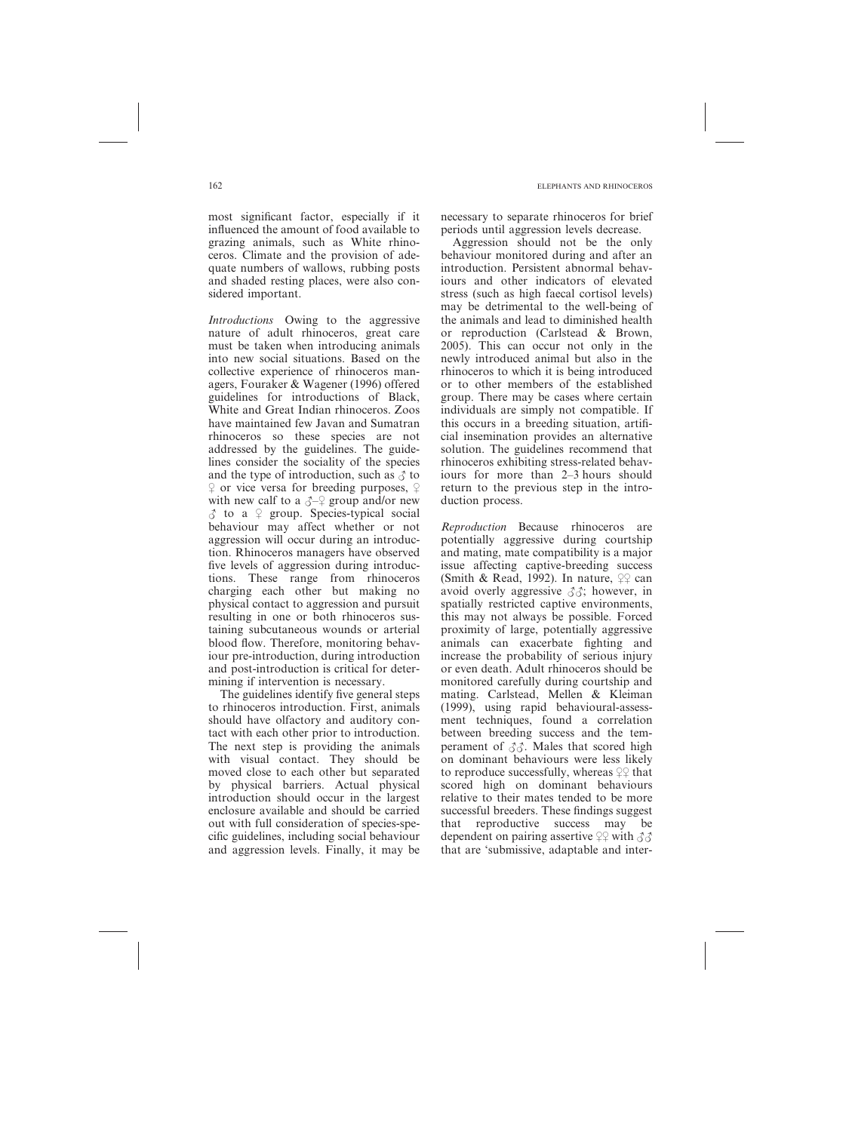most significant factor, especially if it influenced the amount of food available to grazing animals, such as White rhinoceros. Climate and the provision of adequate numbers of wallows, rubbing posts and shaded resting places, were also considered important.

*Introductions* Owing to the aggressive nature of adult rhinoceros, great care must be taken when introducing animals into new social situations. Based on the collective experience of rhinoceros managers, Fouraker & Wagener (1996) offered guidelines for introductions of Black, White and Great Indian rhinoceros. Zoos have maintained few Javan and Sumatran rhinoceros so these species are not addressed by the guidelines. The guidelines consider the sociality of the species and the type of introduction, such as  $\beta$  to  $\Omega$  or vice versa for breeding purposes,  $\Omega$ with new calf to a  $\zeta$ - $\frac{1}{\zeta}$  group and/or new  $\delta$  to a  $\varphi$  group. Species-typical social behaviour may affect whether or not aggression will occur during an introduction. Rhinoceros managers have observed five levels of aggression during introductions. These range from rhinoceros charging each other but making no physical contact to aggression and pursuit resulting in one or both rhinoceros sustaining subcutaneous wounds or arterial blood flow. Therefore, monitoring behaviour pre-introduction, during introduction and post-introduction is critical for determining if intervention is necessary.

The guidelines identify five general steps to rhinoceros introduction. First, animals should have olfactory and auditory contact with each other prior to introduction. The next step is providing the animals with visual contact. They should be moved close to each other but separated by physical barriers. Actual physical introduction should occur in the largest enclosure available and should be carried out with full consideration of species-specific guidelines, including social behaviour and aggression levels. Finally, it may be necessary to separate rhinoceros for brief periods until aggression levels decrease.

Aggression should not be the only behaviour monitored during and after an introduction. Persistent abnormal behaviours and other indicators of elevated stress (such as high faecal cortisol levels) may be detrimental to the well-being of the animals and lead to diminished health or reproduction (Carlstead & Brown, 2005). This can occur not only in the newly introduced animal but also in the rhinoceros to which it is being introduced or to other members of the established group. There may be cases where certain individuals are simply not compatible. If this occurs in a breeding situation, artificial insemination provides an alternative solution. The guidelines recommend that rhinoceros exhibiting stress-related behaviours for more than 2–3 hours should return to the previous step in the introduction process.

*Reproduction* Because rhinoceros are potentially aggressive during courtship and mating, mate compatibility is a major issue affecting captive-breeding success (Smith & Read, 1992). In nature,  $\varphi$  can avoid overly aggressive  $\Im \Im$ ; however, in spatially restricted captive environments, this may not always be possible. Forced proximity of large, potentially aggressive animals can exacerbate fighting and increase the probability of serious injury or even death. Adult rhinoceros should be monitored carefully during courtship and mating. Carlstead, Mellen & Kleiman (1999), using rapid behavioural-assessment techniques, found a correlation between breeding success and the temperament of  $\Im \Im$ . Males that scored high on dominant behaviours were less likely to reproduce successfully, whereas  $\varphi$  that scored high on dominant behaviours relative to their mates tended to be more successful breeders. These findings suggest that reproductive success may be dependent on pairing assertive  $\varphi \varphi$  with  $\varphi \varphi$ that are 'submissive, adaptable and inter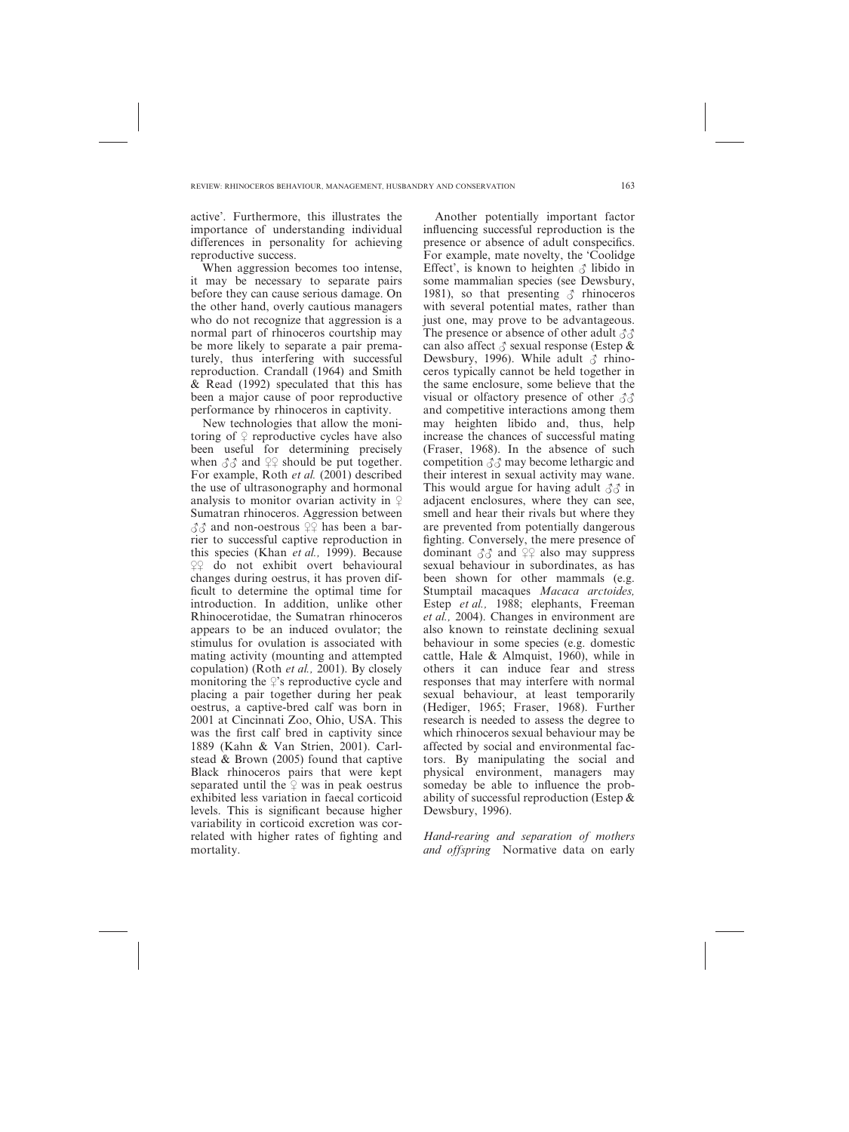active'. Furthermore, this illustrates the importance of understanding individual differences in personality for achieving reproductive success.

When aggression becomes too intense, it may be necessary to separate pairs before they can cause serious damage. On the other hand, overly cautious managers who do not recognize that aggression is a normal part of rhinoceros courtship may be more likely to separate a pair prematurely, thus interfering with successful reproduction. Crandall (1964) and Smith & Read (1992) speculated that this has been a major cause of poor reproductive performance by rhinoceros in captivity.

New technologies that allow the monitoring of  $\varphi$  reproductive cycles have also been useful for determining precisely when  $\Im \Im$  and  $\Im \Im$  should be put together. For example, Roth *et al.* (2001) described the use of ultrasonography and hormonal analysis to monitor ovarian activity in  $\varphi$ Sumatran rhinoceros. Aggression between  $\Im \Im$  and non-oestrous  $\Im \Im$  has been a barrier to successful captive reproduction in this species (Khan *et al.,* 1999). Because do not exhibit overt behavioural changes during oestrus, it has proven difficult to determine the optimal time for introduction. In addition, unlike other Rhinocerotidae, the Sumatran rhinoceros appears to be an induced ovulator; the stimulus for ovulation is associated with mating activity (mounting and attempted copulation) (Roth *et al.,* 2001). By closely monitoring the  $\varphi$ 's reproductive cycle and placing a pair together during her peak oestrus, a captive-bred calf was born in 2001 at Cincinnati Zoo, Ohio, USA. This was the first calf bred in captivity since 1889 (Kahn & Van Strien, 2001). Carlstead & Brown (2005) found that captive Black rhinoceros pairs that were kept separated until the  $\varphi$  was in peak oestrus exhibited less variation in faecal corticoid levels. This is significant because higher variability in corticoid excretion was correlated with higher rates of fighting and mortality.

Another potentially important factor influencing successful reproduction is the presence or absence of adult conspecifics. For example, mate novelty, the 'Coolidge Effect', is known to heighten  $\beta$  libido in some mammalian species (see Dewsbury, 1981), so that presenting  $\delta$  rhinoceros with several potential mates, rather than just one, may prove to be advantageous. The presence or absence of other adult  $\Im \Im$ can also affect  $\mathcal J$  sexual response (Estep & Dewsbury, 1996). While adult  $\delta$  rhinoceros typically cannot be held together in the same enclosure, some believe that the visual or olfactory presence of other  $\Im$ and competitive interactions among them may heighten libido and, thus, help increase the chances of successful mating (Fraser, 1968). In the absence of such competition  $\Im \Im$  may become lethargic and their interest in sexual activity may wane. This would argue for having adult  $\delta\delta$  in adjacent enclosures, where they can see, smell and hear their rivals but where they are prevented from potentially dangerous fighting. Conversely, the mere presence of dominant  $\Im \Im$  and  $\Im \Im$  also may suppress sexual behaviour in subordinates, as has been shown for other mammals (e.g. Stumptail macaques *Macaca arctoides,* Estep *et al.,* 1988; elephants, Freeman *et al.,* 2004). Changes in environment are also known to reinstate declining sexual behaviour in some species (e.g. domestic cattle, Hale & Almquist, 1960), while in others it can induce fear and stress responses that may interfere with normal sexual behaviour, at least temporarily (Hediger, 1965; Fraser, 1968). Further research is needed to assess the degree to which rhinoceros sexual behaviour may be affected by social and environmental factors. By manipulating the social and physical environment, managers may someday be able to influence the probability of successful reproduction (Estep & Dewsbury, 1996).

*Hand-rearing and separation of mothers and offspring* Normative data on early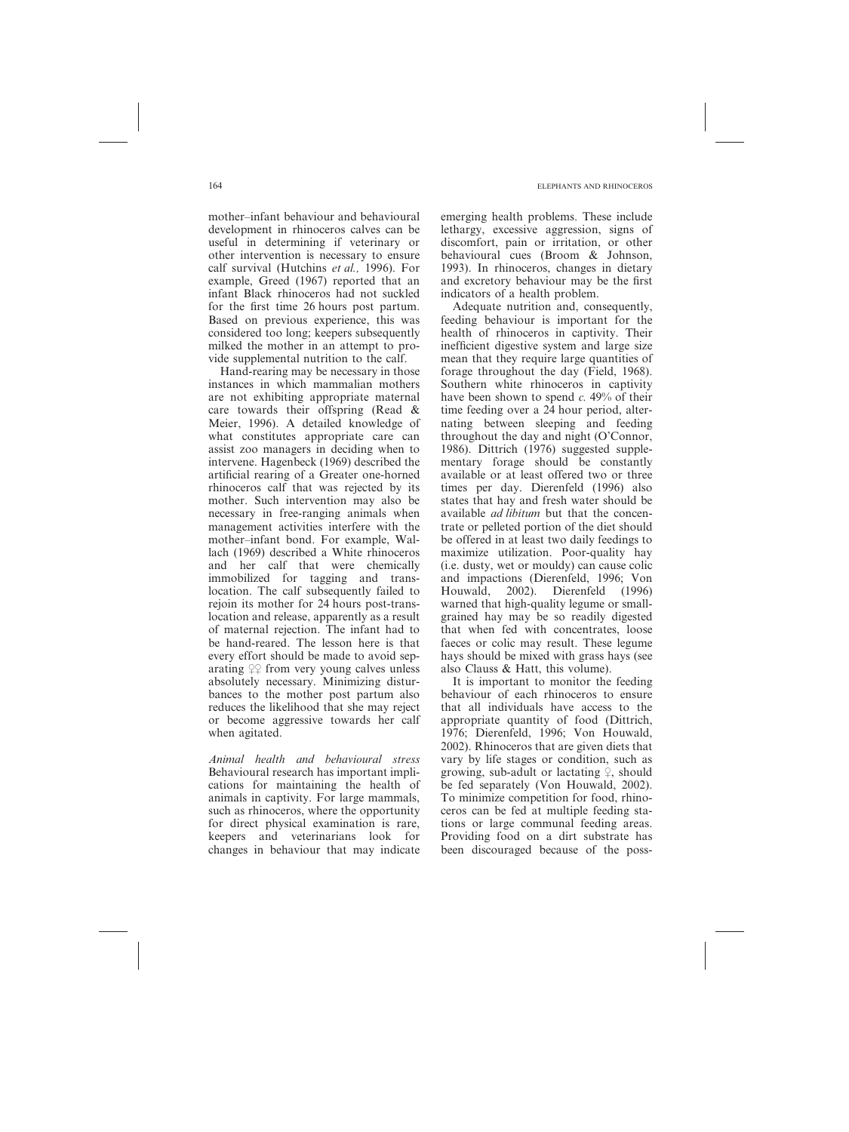mother–infant behaviour and behavioural development in rhinoceros calves can be useful in determining if veterinary or other intervention is necessary to ensure calf survival (Hutchins *et al.,* 1996). For example, Greed (1967) reported that an infant Black rhinoceros had not suckled for the first time 26 hours post partum. Based on previous experience, this was considered too long; keepers subsequently milked the mother in an attempt to provide supplemental nutrition to the calf.

Hand-rearing may be necessary in those instances in which mammalian mothers are not exhibiting appropriate maternal care towards their offspring (Read & Meier, 1996). A detailed knowledge of what constitutes appropriate care can assist zoo managers in deciding when to intervene. Hagenbeck (1969) described the artificial rearing of a Greater one-horned rhinoceros calf that was rejected by its mother. Such intervention may also be necessary in free-ranging animals when management activities interfere with the mother–infant bond. For example, Wallach (1969) described a White rhinoceros and her calf that were chemically immobilized for tagging and translocation. The calf subsequently failed to rejoin its mother for 24 hours post-translocation and release, apparently as a result of maternal rejection. The infant had to be hand-reared. The lesson here is that every effort should be made to avoid separating  $\varphi$  from very young calves unless absolutely necessary. Minimizing disturbances to the mother post partum also reduces the likelihood that she may reject or become aggressive towards her calf when agitated.

*Animal health and behavioural stress* Behavioural research has important implications for maintaining the health of animals in captivity. For large mammals, such as rhinoceros, where the opportunity for direct physical examination is rare, keepers and veterinarians look for changes in behaviour that may indicate emerging health problems. These include lethargy, excessive aggression, signs of discomfort, pain or irritation, or other behavioural cues (Broom & Johnson, 1993). In rhinoceros, changes in dietary and excretory behaviour may be the first indicators of a health problem.

Adequate nutrition and, consequently, feeding behaviour is important for the health of rhinoceros in captivity. Their inefficient digestive system and large size mean that they require large quantities of forage throughout the day (Field, 1968). Southern white rhinoceros in captivity have been shown to spend *c.* 49% of their time feeding over a 24 hour period, alternating between sleeping and feeding throughout the day and night (O'Connor, 1986). Dittrich (1976) suggested supplementary forage should be constantly available or at least offered two or three times per day. Dierenfeld (1996) also states that hay and fresh water should be available *ad libitum* but that the concentrate or pelleted portion of the diet should be offered in at least two daily feedings to maximize utilization. Poor-quality hay (i.e. dusty, wet or mouldy) can cause colic and impactions (Dierenfeld, 1996; Von Houwald, 2002). Dierenfeld (1996) warned that high-quality legume or smallgrained hay may be so readily digested that when fed with concentrates, loose faeces or colic may result. These legume hays should be mixed with grass hays (see also Clauss & Hatt, this volume).

It is important to monitor the feeding behaviour of each rhinoceros to ensure that all individuals have access to the appropriate quantity of food (Dittrich, 1976; Dierenfeld, 1996; Von Houwald, 2002). Rhinoceros that are given diets that vary by life stages or condition, such as growing, sub-adult or lactating  $\varphi$ , should be fed separately (Von Houwald, 2002). To minimize competition for food, rhinoceros can be fed at multiple feeding stations or large communal feeding areas. Providing food on a dirt substrate has been discouraged because of the poss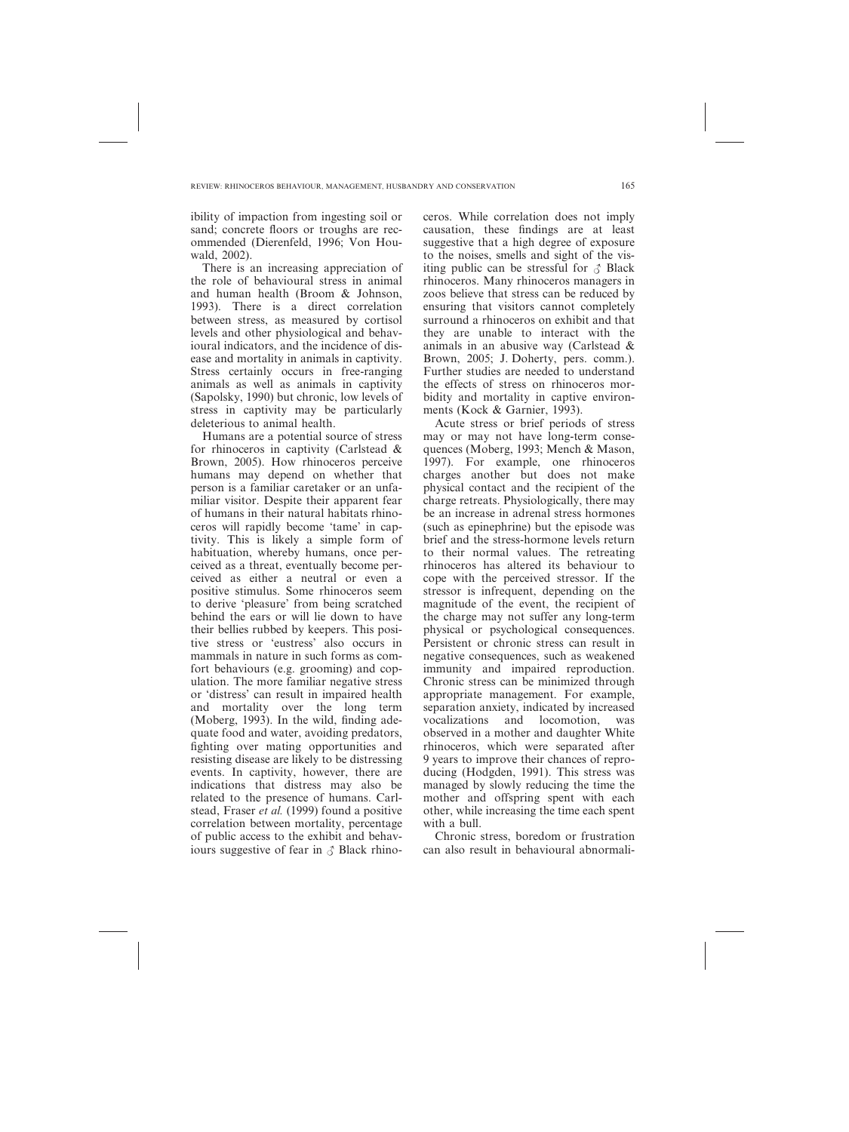ibility of impaction from ingesting soil or sand; concrete floors or troughs are recommended (Dierenfeld, 1996; Von Houwald, 2002).

There is an increasing appreciation of the role of behavioural stress in animal and human health (Broom & Johnson, 1993). There is a direct correlation between stress, as measured by cortisol levels and other physiological and behavioural indicators, and the incidence of disease and mortality in animals in captivity. Stress certainly occurs in free-ranging animals as well as animals in captivity (Sapolsky, 1990) but chronic, low levels of stress in captivity may be particularly deleterious to animal health.

Humans are a potential source of stress for rhinoceros in captivity (Carlstead & Brown, 2005). How rhinoceros perceive humans may depend on whether that person is a familiar caretaker or an unfamiliar visitor. Despite their apparent fear of humans in their natural habitats rhinoceros will rapidly become 'tame' in captivity. This is likely a simple form of habituation, whereby humans, once perceived as a threat, eventually become perceived as either a neutral or even a positive stimulus. Some rhinoceros seem to derive 'pleasure' from being scratched behind the ears or will lie down to have their bellies rubbed by keepers. This positive stress or 'eustress' also occurs in mammals in nature in such forms as comfort behaviours (e.g. grooming) and copulation. The more familiar negative stress or 'distress' can result in impaired health and mortality over the long term (Moberg, 1993). In the wild, finding adequate food and water, avoiding predators, fighting over mating opportunities and resisting disease are likely to be distressing events. In captivity, however, there are indications that distress may also be related to the presence of humans. Carlstead, Fraser *et al.* (1999) found a positive correlation between mortality, percentage of public access to the exhibit and behaviours suggestive of fear in  $\delta$  Black rhinoceros. While correlation does not imply causation, these findings are at least suggestive that a high degree of exposure to the noises, smells and sight of the visiting public can be stressful for  $\delta$  Black rhinoceros. Many rhinoceros managers in zoos believe that stress can be reduced by ensuring that visitors cannot completely surround a rhinoceros on exhibit and that they are unable to interact with the animals in an abusive way (Carlstead & Brown, 2005; J. Doherty, pers. comm.). Further studies are needed to understand the effects of stress on rhinoceros morbidity and mortality in captive environments (Kock & Garnier, 1993).

Acute stress or brief periods of stress may or may not have long-term consequences (Moberg, 1993; Mench & Mason, 1997). For example, one rhinoceros charges another but does not make physical contact and the recipient of the charge retreats. Physiologically, there may be an increase in adrenal stress hormones (such as epinephrine) but the episode was brief and the stress-hormone levels return to their normal values. The retreating rhinoceros has altered its behaviour to cope with the perceived stressor. If the stressor is infrequent, depending on the magnitude of the event, the recipient of the charge may not suffer any long-term physical or psychological consequences. Persistent or chronic stress can result in negative consequences, such as weakened immunity and impaired reproduction. Chronic stress can be minimized through appropriate management. For example, separation anxiety, indicated by increased vocalizations and locomotion, was observed in a mother and daughter White rhinoceros, which were separated after 9 years to improve their chances of reproducing (Hodgden, 1991). This stress was managed by slowly reducing the time the mother and offspring spent with each other, while increasing the time each spent with a bull.

Chronic stress, boredom or frustration can also result in behavioural abnormali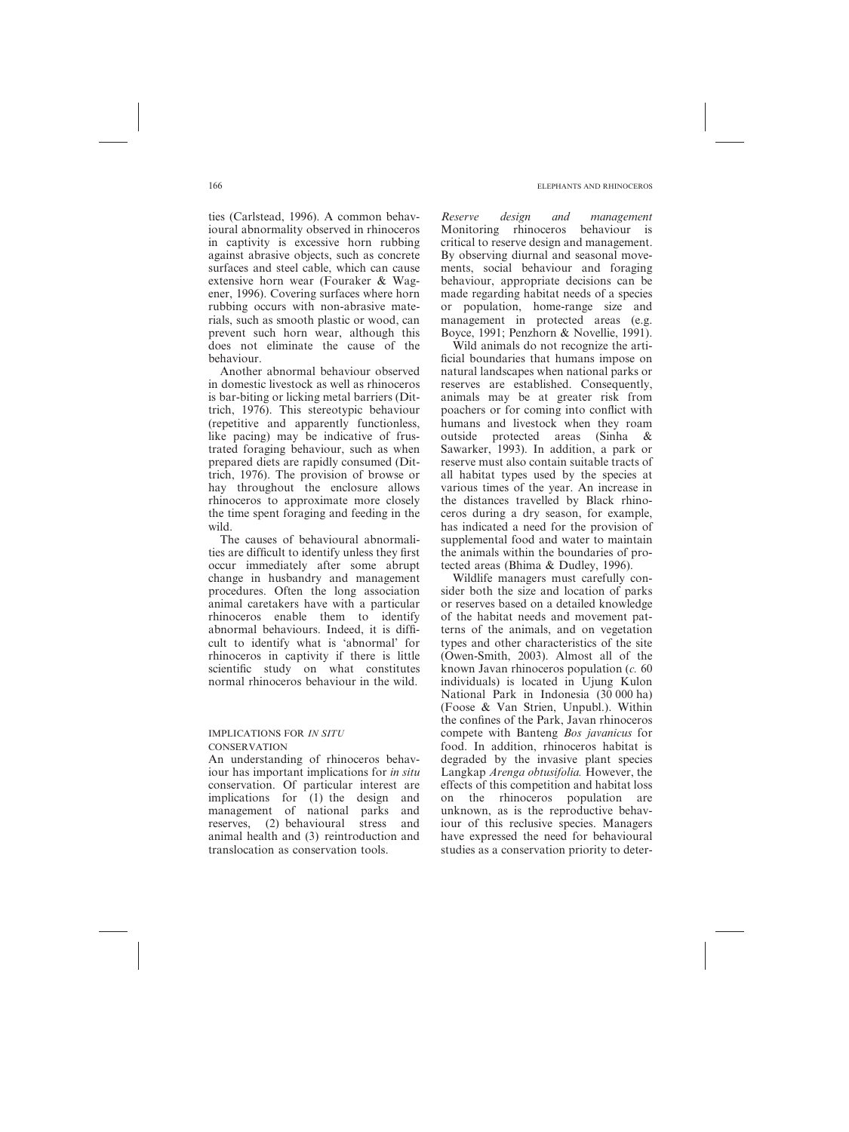ties (Carlstead, 1996). A common behavioural abnormality observed in rhinoceros in captivity is excessive horn rubbing against abrasive objects, such as concrete surfaces and steel cable, which can cause extensive horn wear (Fouraker & Wagener, 1996). Covering surfaces where horn rubbing occurs with non-abrasive materials, such as smooth plastic or wood, can prevent such horn wear, although this does not eliminate the cause of the behaviour.

Another abnormal behaviour observed in domestic livestock as well as rhinoceros is bar-biting or licking metal barriers (Dittrich, 1976). This stereotypic behaviour (repetitive and apparently functionless, like pacing) may be indicative of frustrated foraging behaviour, such as when prepared diets are rapidly consumed (Dittrich, 1976). The provision of browse or hay throughout the enclosure allows rhinoceros to approximate more closely the time spent foraging and feeding in the wild.

The causes of behavioural abnormalities are difficult to identify unless they first occur immediately after some abrupt change in husbandry and management procedures. Often the long association animal caretakers have with a particular rhinoceros enable them to identify abnormal behaviours. Indeed, it is difficult to identify what is 'abnormal' for rhinoceros in captivity if there is little scientific study on what constitutes normal rhinoceros behaviour in the wild.

### IMPLICATIONS FOR *IN SITU* CONSERVATION

An understanding of rhinoceros behaviour has important implications for *in situ* conservation. Of particular interest are implications for (1) the design and management of national parks and reserves, (2) behavioural stress and animal health and (3) reintroduction and translocation as conservation tools.

*Reserve design and management* Monitoring rhinoceros behaviour is critical to reserve design and management. By observing diurnal and seasonal movements, social behaviour and foraging behaviour, appropriate decisions can be made regarding habitat needs of a species or population, home-range size and management in protected areas (e.g. Boyce, 1991; Penzhorn & Novellie, 1991).

Wild animals do not recognize the artificial boundaries that humans impose on natural landscapes when national parks or reserves are established. Consequently, animals may be at greater risk from poachers or for coming into conflict with humans and livestock when they roam outside protected areas (Sinha & Sawarker, 1993). In addition, a park or reserve must also contain suitable tracts of all habitat types used by the species at various times of the year. An increase in the distances travelled by Black rhinoceros during a dry season, for example, has indicated a need for the provision of supplemental food and water to maintain the animals within the boundaries of protected areas (Bhima & Dudley, 1996).

Wildlife managers must carefully consider both the size and location of parks or reserves based on a detailed knowledge of the habitat needs and movement patterns of the animals, and on vegetation types and other characteristics of the site (Owen-Smith, 2003). Almost all of the known Javan rhinoceros population (*c.* 60 individuals) is located in Ujung Kulon National Park in Indonesia (30 000 ha) (Foose & Van Strien, Unpubl.). Within the confines of the Park, Javan rhinoceros compete with Banteng *Bos javanicus* for food. In addition, rhinoceros habitat is degraded by the invasive plant species Langkap *Arenga obtusifolia.* However, the effects of this competition and habitat loss on the rhinoceros population are unknown, as is the reproductive behaviour of this reclusive species. Managers have expressed the need for behavioural studies as a conservation priority to deter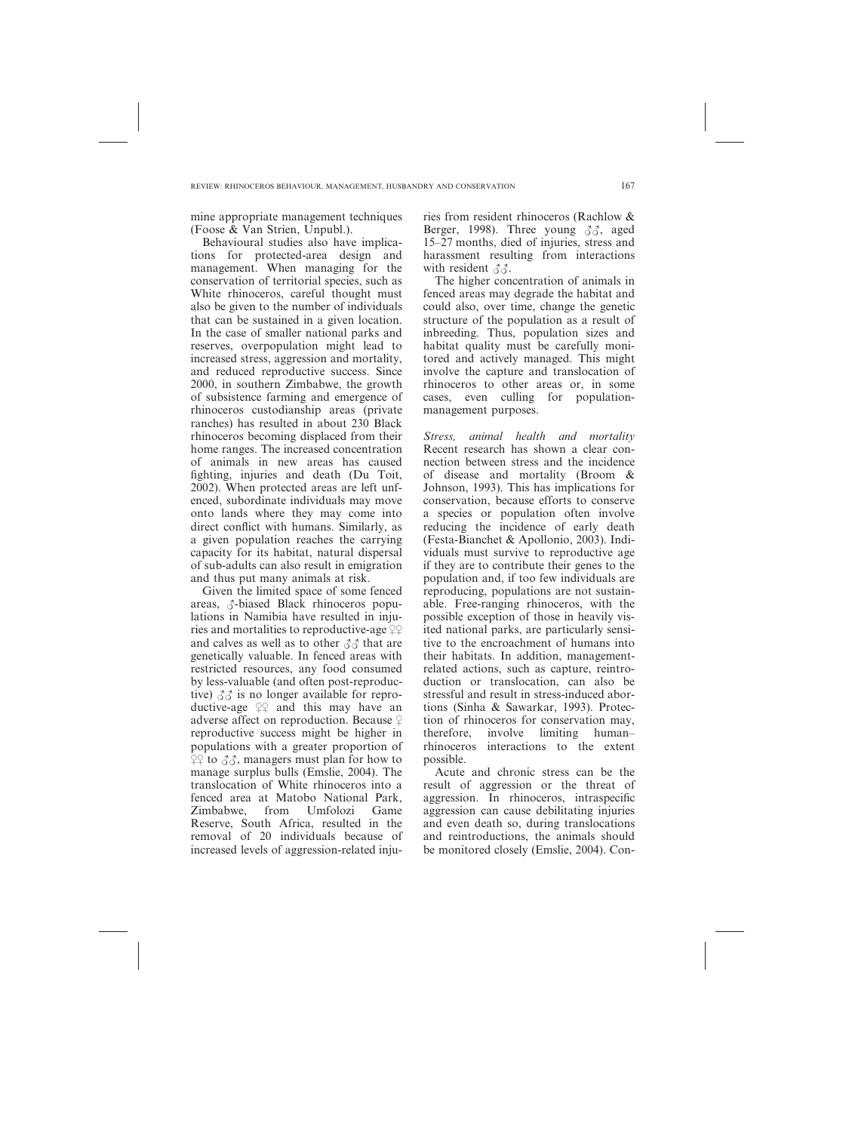mine appropriate management techniques (Foose & Van Strien, Unpubl.).

Behavioural studies also have implications for protected-area design and management. When managing for the conservation of territorial species, such as White rhinoceros, careful thought must also be given to the number of individuals that can be sustained in a given location. In the case of smaller national parks and reserves, overpopulation might lead to increased stress, aggression and mortality, and reduced reproductive success. Since 2000, in southern Zimbabwe, the growth of subsistence farming and emergence of rhinoceros custodianship areas (private ranches) has resulted in about 230 Black rhinoceros becoming displaced from their home ranges. The increased concentration of animals in new areas has caused fighting, injuries and death (Du Toit, 2002). When protected areas are left unfenced, subordinate individuals may move onto lands where they may come into direct conflict with humans. Similarly, as a given population reaches the carrying capacity for its habitat, natural dispersal of sub-adults can also result in emigration and thus put many animals at risk.

Given the limited space of some fenced areas, 3-biased Black rhinoceros populations in Namibia have resulted in injuries and mortalities to reproductive-age  $\mathcal{Q} \mathcal{Q}$ and calves as well as to other  $\delta \delta$  that are genetically valuable. In fenced areas with restricted resources, any food consumed by less-valuable (and often post-reproductive)  $\Im \Im$  is no longer available for reproductive-age  $\mathcal{Q}$  and this may have an adverse affect on reproduction. Because reproductive success might be higher in populations with a greater proportion of  $\varphi$  to  $\varphi$  managers must plan for how to manage surplus bulls (Emslie, 2004). The translocation of White rhinoceros into a fenced area at Matobo National Park, Zimbabwe, from Umfolozi Game Reserve, South Africa, resulted in the removal of 20 individuals because of increased levels of aggression-related injuries from resident rhinoceros (Rachlow & Berger, 1998). Three young  $\delta \delta$ , aged 15–27 months, died of injuries, stress and harassment resulting from interactions with resident  $\delta \delta$ .

The higher concentration of animals in fenced areas may degrade the habitat and could also, over time, change the genetic structure of the population as a result of inbreeding. Thus, population sizes and habitat quality must be carefully monitored and actively managed. This might involve the capture and translocation of rhinoceros to other areas or, in some cases, even culling for populationmanagement purposes.

*Stress, animal health and mortality* Recent research has shown a clear connection between stress and the incidence of disease and mortality (Broom & Johnson, 1993). This has implications for conservation, because efforts to conserve a species or population often involve reducing the incidence of early death (Festa-Bianchet & Apollonio, 2003). Individuals must survive to reproductive age if they are to contribute their genes to the population and, if too few individuals are reproducing, populations are not sustainable. Free-ranging rhinoceros, with the possible exception of those in heavily visited national parks, are particularly sensitive to the encroachment of humans into their habitats. In addition, managementrelated actions, such as capture, reintroduction or translocation, can also be stressful and result in stress-induced abortions (Sinha & Sawarkar, 1993). Protection of rhinoceros for conservation may, therefore, involve limiting human– rhinoceros interactions to the extent possible.

Acute and chronic stress can be the result of aggression or the threat of aggression. In rhinoceros, intraspecific aggression can cause debilitating injuries and even death so, during translocations and reintroductions, the animals should be monitored closely (Emslie, 2004). Con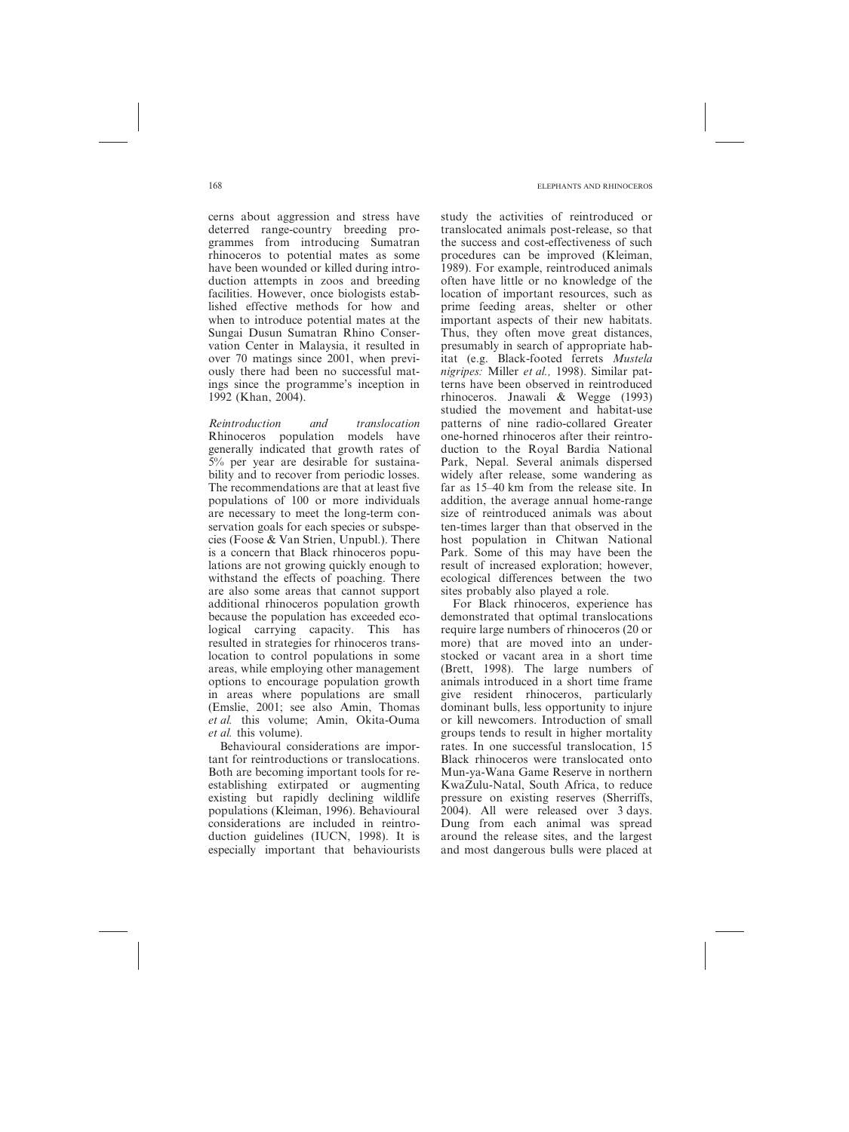cerns about aggression and stress have

deterred range-country breeding programmes from introducing Sumatran rhinoceros to potential mates as some have been wounded or killed during introduction attempts in zoos and breeding facilities. However, once biologists established effective methods for how and when to introduce potential mates at the Sungai Dusun Sumatran Rhino Conservation Center in Malaysia, it resulted in over 70 matings since 2001, when previously there had been no successful matings since the programme's inception in 1992 (Khan, 2004).

*Reintroduction and translocation* Rhinoceros population models have generally indicated that growth rates of 5% per year are desirable for sustainability and to recover from periodic losses. The recommendations are that at least five populations of 100 or more individuals are necessary to meet the long-term conservation goals for each species or subspecies (Foose & Van Strien, Unpubl.). There is a concern that Black rhinoceros populations are not growing quickly enough to withstand the effects of poaching. There are also some areas that cannot support additional rhinoceros population growth because the population has exceeded ecological carrying capacity. This has resulted in strategies for rhinoceros translocation to control populations in some areas, while employing other management options to encourage population growth in areas where populations are small (Emslie, 2001; see also Amin, Thomas *et al.* this volume; Amin, Okita-Ouma *et al.* this volume).

Behavioural considerations are important for reintroductions or translocations. Both are becoming important tools for reestablishing extirpated or augmenting existing but rapidly declining wildlife populations (Kleiman, 1996). Behavioural considerations are included in reintroduction guidelines (IUCN, 1998). It is especially important that behaviourists study the activities of reintroduced or translocated animals post-release, so that the success and cost-effectiveness of such procedures can be improved (Kleiman, 1989). For example, reintroduced animals often have little or no knowledge of the location of important resources, such as prime feeding areas, shelter or other important aspects of their new habitats. Thus, they often move great distances, presumably in search of appropriate habitat (e.g. Black-footed ferrets *Mustela nigripes:* Miller *et al.,* 1998). Similar patterns have been observed in reintroduced rhinoceros. Jnawali & Wegge (1993) studied the movement and habitat-use patterns of nine radio-collared Greater one-horned rhinoceros after their reintroduction to the Royal Bardia National Park, Nepal. Several animals dispersed widely after release, some wandering as far as 15–40 km from the release site. In addition, the average annual home-range size of reintroduced animals was about ten-times larger than that observed in the host population in Chitwan National Park. Some of this may have been the result of increased exploration; however, ecological differences between the two sites probably also played a role.

For Black rhinoceros, experience has demonstrated that optimal translocations require large numbers of rhinoceros (20 or more) that are moved into an understocked or vacant area in a short time (Brett, 1998). The large numbers of animals introduced in a short time frame give resident rhinoceros, particularly dominant bulls, less opportunity to injure or kill newcomers. Introduction of small groups tends to result in higher mortality rates. In one successful translocation, 15 Black rhinoceros were translocated onto Mun-ya-Wana Game Reserve in northern KwaZulu-Natal, South Africa, to reduce pressure on existing reserves (Sherriffs, 2004). All were released over 3 days. Dung from each animal was spread around the release sites, and the largest and most dangerous bulls were placed at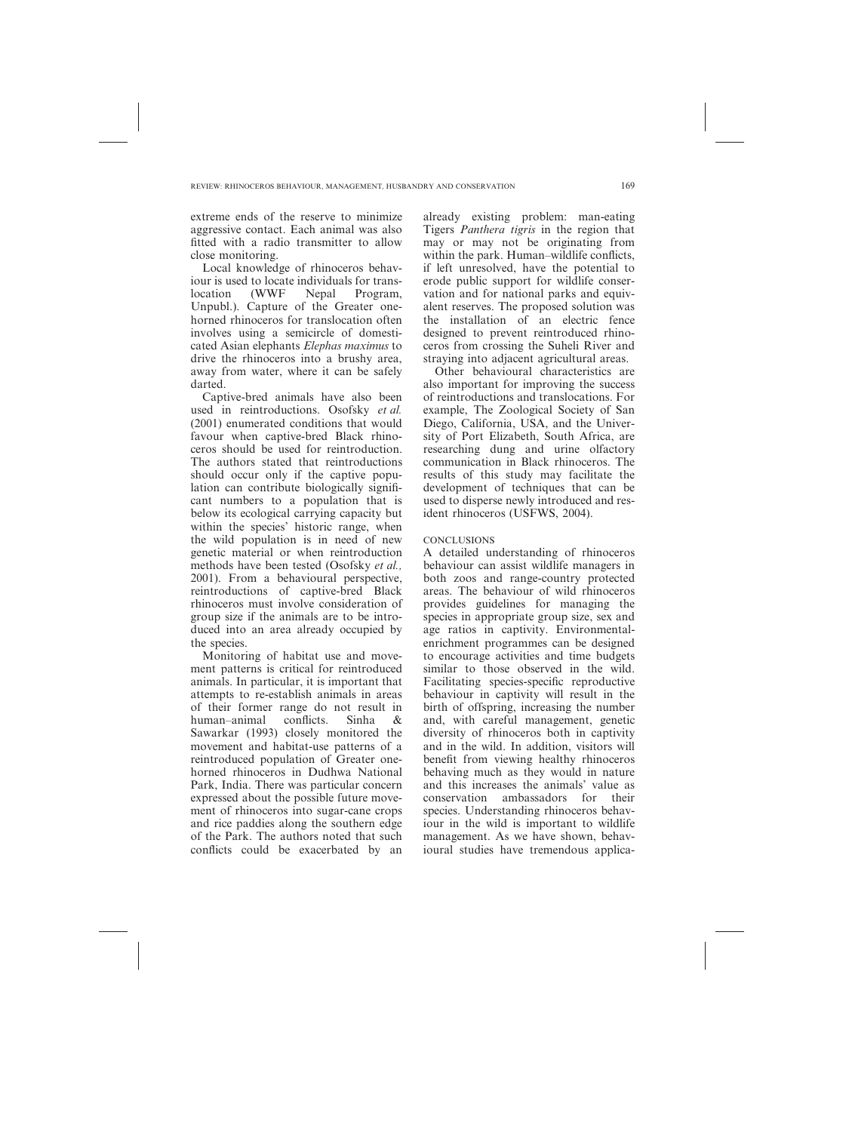extreme ends of the reserve to minimize aggressive contact. Each animal was also fitted with a radio transmitter to allow close monitoring.

Local knowledge of rhinoceros behaviour is used to locate individuals for translocation (WWF Nepal Program, Unpubl.). Capture of the Greater onehorned rhinoceros for translocation often involves using a semicircle of domesticated Asian elephants *Elephas maximus* to drive the rhinoceros into a brushy area, away from water, where it can be safely darted.

Captive-bred animals have also been used in reintroductions. Osofsky *et al.* (2001) enumerated conditions that would favour when captive-bred Black rhinoceros should be used for reintroduction. The authors stated that reintroductions should occur only if the captive population can contribute biologically significant numbers to a population that is below its ecological carrying capacity but within the species' historic range, when the wild population is in need of new genetic material or when reintroduction methods have been tested (Osofsky *et al.,* 2001). From a behavioural perspective, reintroductions of captive-bred Black rhinoceros must involve consideration of group size if the animals are to be introduced into an area already occupied by the species.

Monitoring of habitat use and movement patterns is critical for reintroduced animals. In particular, it is important that attempts to re-establish animals in areas of their former range do not result in human–animal conflicts. Sinha & Sawarkar (1993) closely monitored the movement and habitat-use patterns of a reintroduced population of Greater onehorned rhinoceros in Dudhwa National Park, India. There was particular concern expressed about the possible future movement of rhinoceros into sugar-cane crops and rice paddies along the southern edge of the Park. The authors noted that such conflicts could be exacerbated by an already existing problem: man-eating Tigers *Panthera tigris* in the region that may or may not be originating from within the park. Human–wildlife conflicts, if left unresolved, have the potential to erode public support for wildlife conservation and for national parks and equivalent reserves. The proposed solution was the installation of an electric fence designed to prevent reintroduced rhinoceros from crossing the Suheli River and straying into adjacent agricultural areas.

Other behavioural characteristics are also important for improving the success of reintroductions and translocations. For example, The Zoological Society of San Diego, California, USA, and the University of Port Elizabeth, South Africa, are researching dung and urine olfactory communication in Black rhinoceros. The results of this study may facilitate the development of techniques that can be used to disperse newly introduced and resident rhinoceros (USFWS, 2004).

## **CONCLUSIONS**

A detailed understanding of rhinoceros behaviour can assist wildlife managers in both zoos and range-country protected areas. The behaviour of wild rhinoceros provides guidelines for managing the species in appropriate group size, sex and age ratios in captivity. Environmentalenrichment programmes can be designed to encourage activities and time budgets similar to those observed in the wild. Facilitating species-specific reproductive behaviour in captivity will result in the birth of offspring, increasing the number and, with careful management, genetic diversity of rhinoceros both in captivity and in the wild. In addition, visitors will benefit from viewing healthy rhinoceros behaving much as they would in nature and this increases the animals' value as conservation ambassadors for their species. Understanding rhinoceros behaviour in the wild is important to wildlife management. As we have shown, behavioural studies have tremendous applica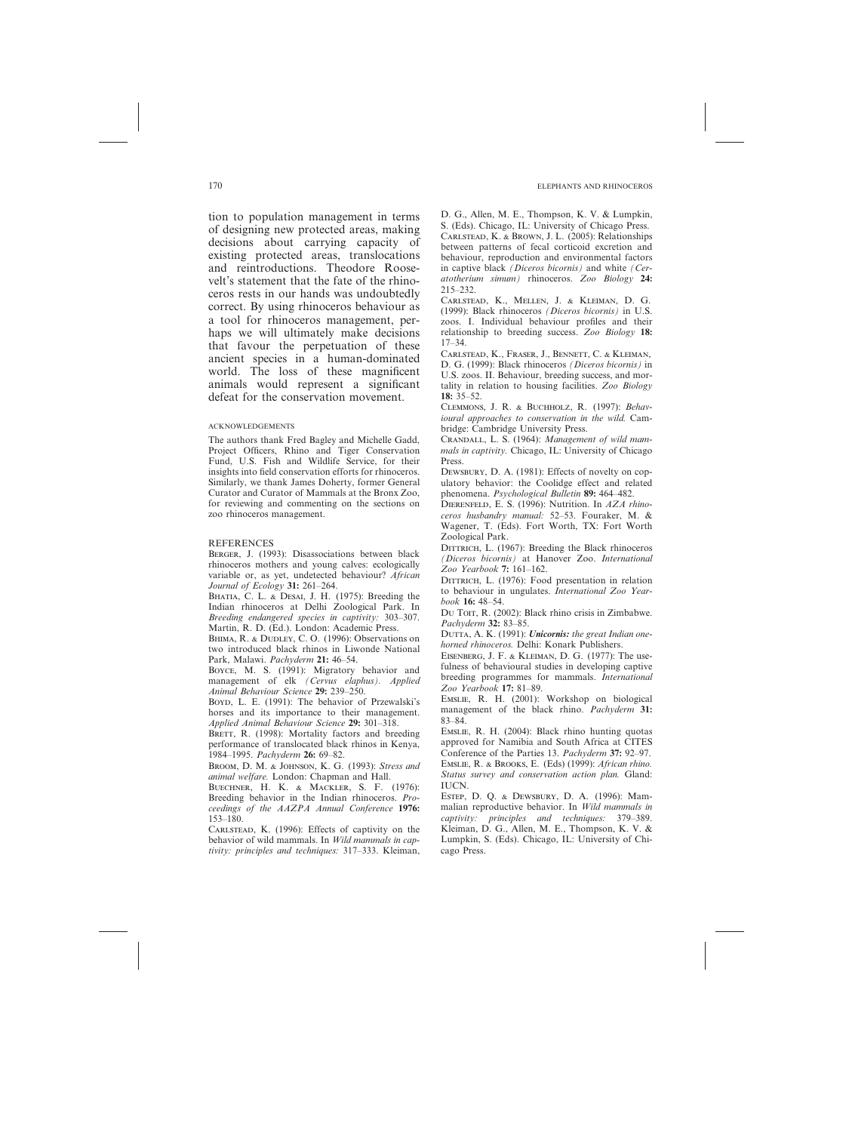tion to population management in terms of designing new protected areas, making decisions about carrying capacity of existing protected areas, translocations and reintroductions. Theodore Roosevelt's statement that the fate of the rhinoceros rests in our hands was undoubtedly correct. By using rhinoceros behaviour as a tool for rhinoceros management, perhaps we will ultimately make decisions that favour the perpetuation of these ancient species in a human-dominated world. The loss of these magnificent animals would represent a significant defeat for the conservation movement.

#### ACKNOWLEDGEMENTS

The authors thank Fred Bagley and Michelle Gadd, Project Officers, Rhino and Tiger Conservation Fund, U.S. Fish and Wildlife Service, for their insights into field conservation efforts for rhinoceros. Similarly, we thank James Doherty, former General Curator and Curator of Mammals at the Bronx Zoo, for reviewing and commenting on the sections on zoo rhinoceros management.

#### REFERENCES

BERGER, J. (1993): Disassociations between black rhinoceros mothers and young calves: ecologically variable or, as yet, undetected behaviour? *African Journal of Ecology* **31:** 261–264.

BHATIA, C. L. & DESAI, J. H. (1975): Breeding the Indian rhinoceros at Delhi Zoological Park. In *Breeding endangered species in captivity:* 303–307. Martin, R. D. (Ed.). London: Academic Press.

BHIMA, R. & DUDLEY, C. O. (1996): Observations on two introduced black rhinos in Liwonde National Park, Malawi. *Pachyderm* **21:** 46–54.

BOYCE, M. S. (1991): Migratory behavior and management of elk *(Cervus elaphus). Applied Animal Behaviour Science* **29:** 239–250.

Boyd, L. E. (1991): The behavior of Przewalski's horses and its importance to their management. *Applied Animal Behaviour Science* **29:** 301–318.

BRETT, R. (1998): Mortality factors and breeding performance of translocated black rhinos in Kenya, 1984–1995. *Pachyderm* **26:** 69–82.

Broom, D. M. & Johnson, K. G. (1993): *Stress and animal welfare.* London: Chapman and Hall.

Buechner, H. K. & Mackler, S. F. (1976): Breeding behavior in the Indian rhinoceros. *Proceedings of the AAZPA Annual Conference* **1976:** 153–180.

Carlstead, K. (1996): Effects of captivity on the behavior of wild mammals. In *Wild mammals in captivity: principles and techniques:* 317–333. Kleiman,

D. G., Allen, M. E., Thompson, K. V. & Lumpkin, S. (Eds). Chicago, IL: University of Chicago Press. Carlstead, K. & Brown, J. L. (2005): Relationships between patterns of fecal corticoid excretion and behaviour, reproduction and environmental factors in captive black *(Diceros bicornis)* and white *(Ceratotherium simum)* rhinoceros. *Zoo Biology* **24:** 215–232.

Carlstead, K., Mellen, J. & Kleiman, D. G. (1999): Black rhinoceros *(Diceros bicornis)* in U.S. zoos. I. Individual behaviour profiles and their relationship to breeding success. *Zoo Biology* **18:** 17–34.

Carlstead, K., Fraser, J., Bennett, C. & Kleiman, D. G. (1999): Black rhinoceros *(Diceros bicornis)* in U.S. zoos. II. Behaviour, breeding success, and mortality in relation to housing facilities. *Zoo Biology* **18:** 35–52.

Clemmons, J. R. & Buchholz, R. (1997): *Behavioural approaches to conservation in the wild.* Cambridge: Cambridge University Press.

Crandall, L. S. (1964): *Management of wild mammals in captivity.* Chicago, IL: University of Chicago Press.

Dewsbury, D. A. (1981): Effects of novelty on copulatory behavior: the Coolidge effect and related phenomena. *Psychological Bulletin* **89:** 464–482.

Dierenfeld, E. S. (1996): Nutrition. In *AZA rhinoceros husbandry manual:* 52–53. Fouraker, M. & Wagener, T. (Eds). Fort Worth, TX: Fort Worth Zoological Park.

DITTRICH, L. (1967): Breeding the Black rhinoceros *(Diceros bicornis)* at Hanover Zoo. *International Zoo Yearbook* **7:** 161–162.

DITTRICH, L. (1976): Food presentation in relation to behaviour in ungulates. *International Zoo Yearbook* **16:** 48–54.

Du Toir, R. (2002): Black rhino crisis in Zimbabwe. *Pachyderm* **32:** 83–85.

DUTTA, A. K. (1991): *Unicornis: the great Indian onehorned rhinoceros.* Delhi: Konark Publishers.

Eisenberg, J. F. & Kleiman, D. G. (1977): The usefulness of behavioural studies in developing captive breeding programmes for mammals. *International Zoo Yearbook* **17:** 81–89.

Emslie, R. H. (2001): Workshop on biological management of the black rhino. *Pachyderm* **31:** 83–84.

Emslie, R. H. (2004): Black rhino hunting quotas approved for Namibia and South Africa at CITES Conference of the Parties 13. *Pachyderm* **37:** 92–97. Emslie, R. & Brooks, E. (Eds) (1999): *African rhino. Status survey and conservation action plan.* Gland: IUCN.

Estep, D. Q. & Dewsbury, D. A. (1996): Mammalian reproductive behavior. In *Wild mammals in captivity: principles and techniques:* 379–389. Kleiman, D. G., Allen, M. E., Thompson, K. V. & Lumpkin, S. (Eds). Chicago, IL: University of Chicago Press.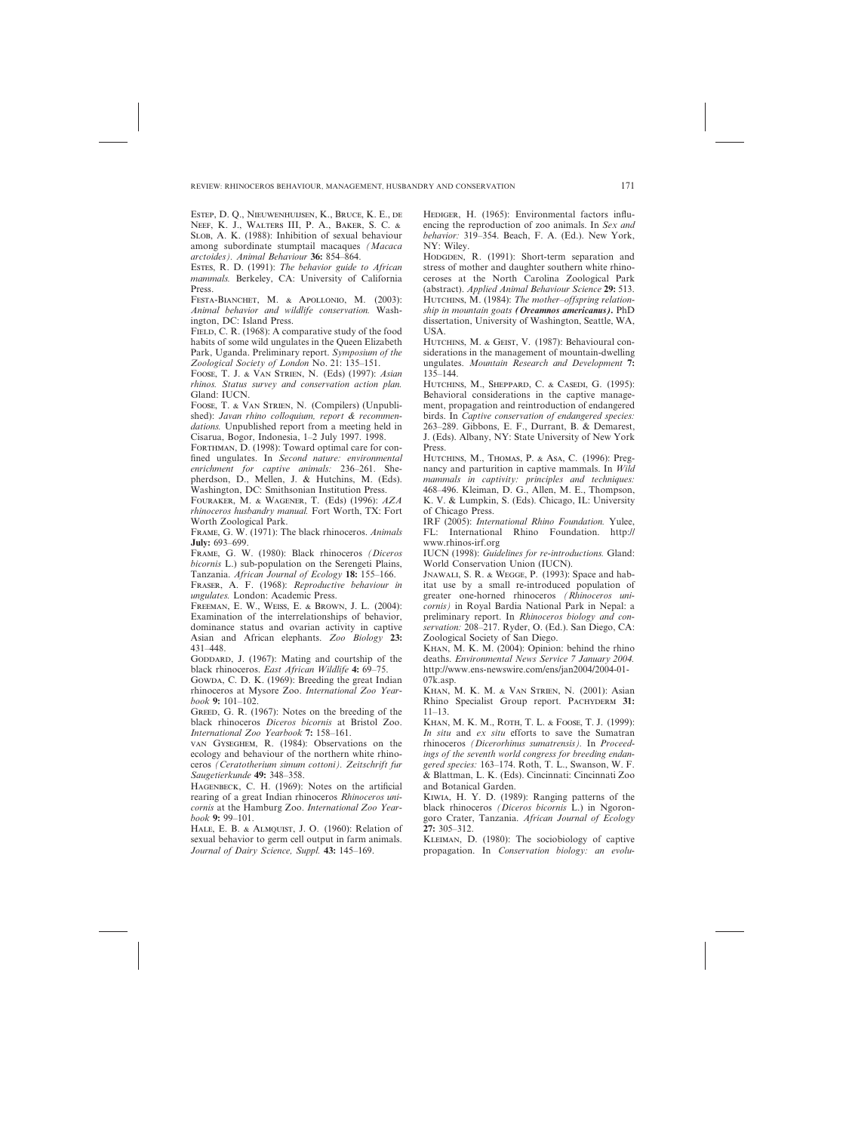Estep, D. Q., Nieuwenhuijsen, K., Bruce, K. E., de Neef, K. J., Walters III, P. A., Baker, S. C. & Slob, A. K. (1988): Inhibition of sexual behaviour among subordinate stumptail macaques *(Macaca arctoides). Animal Behaviour* **36:** 854–864.

Estes, R. D. (1991): *The behavior guide to African mammals.* Berkeley, CA: University of California Press.

Festa-Bianchet, M. & Apollonio, M. (2003): *Animal behavior and wildlife conservation.* Washington, DC: Island Press.

FIELD, C. R. (1968): A comparative study of the food habits of some wild ungulates in the Queen Elizabeth Park, Uganda. Preliminary report. *Symposium of the Zoological Society of London* No. 21: 135–151.

Foose, T. J. & Van Strien, N. (Eds) (1997): *Asian rhinos. Status survey and conservation action plan.* Gland: IUCN.

FOOSE, T. & VAN STRIEN, N. (Compilers) (Unpublished): *Javan rhino colloquium, report & recommendations.* Unpublished report from a meeting held in Cisarua, Bogor, Indonesia, 1–2 July 1997. 1998.

FORTHMAN, D. (1998): Toward optimal care for confined ungulates. In *Second nature: environmental enrichment for captive animals:* 236–261. Shepherdson, D., Mellen, J. & Hutchins, M. (Eds). Washington, DC: Smithsonian Institution Press.

Fouraker, M. & Wagener, T. (Eds) (1996): *AZA rhinoceros husbandry manual.* Fort Worth, TX: Fort Worth Zoological Park.

Frame, G. W. (1971): The black rhinoceros. *Animals* **July:** 693–699.

Frame, G. W. (1980): Black rhinoceros *(Diceros bicornis* L.) sub-population on the Serengeti Plains, Tanzania. *African Journal of Ecology* **18:** 155–166.

Fraser, A. F. (1968): *Reproductive behaviour in ungulates.* London: Academic Press.

Freeman, E. W., Weiss, E. & Brown, J. L. (2004): Examination of the interrelationships of behavior, dominance status and ovarian activity in captive Asian and African elephants. *Zoo Biology* **23:** 431–448.

GODDARD, J. (1967): Mating and courtship of the black rhinoceros. *East African Wildlife* **4:** 69–75.

Gowda, C. D. K. (1969): Breeding the great Indian rhinoceros at Mysore Zoo. *International Zoo Yearbook* **9:** 101–102.

GREED, G. R. (1967): Notes on the breeding of the black rhinoceros *Diceros bicornis* at Bristol Zoo. *International Zoo Yearbook* **7:** 158–161.

van Gyseghem, R. (1984): Observations on the ecology and behaviour of the northern white rhinoceros *(Ceratotherium simum cottoni). Zeitschrift fur Saugetierkunde* **49:** 348–358.

HAGENBECK, C. H. (1969): Notes on the artificial rearing of a great Indian rhinoceros *Rhinoceros unicornis* at the Hamburg Zoo. *International Zoo Yearbook* **9:** 99–101.

HALE, E. B. & ALMQUIST, J. O. (1960): Relation of sexual behavior to germ cell output in farm animals. *Journal of Dairy Science, Suppl.* **43:** 145–169.

HEDIGER, H. (1965): Environmental factors influencing the reproduction of zoo animals. In *Sex and behavior:* 319–354. Beach, F. A. (Ed.). New York, NY: Wiley.

HODGDEN, R. (1991): Short-term separation and stress of mother and daughter southern white rhinoceroses at the North Carolina Zoological Park (abstract). *Applied Animal Behaviour Science* **29:** 513. HUTCHINS, M. (1984): The mother-offspring relation*ship in mountain goats (Oreamnos americanus).* PhD dissertation, University of Washington, Seattle, WA, USA.

HUTCHINS, M. & GEIST, V. (1987): Behavioural considerations in the management of mountain-dwelling ungulates. *Mountain Research and Development* **7:** 135–144.

Hutchins, M., Sheppard, C. & Casedi, G. (1995): Behavioral considerations in the captive management, propagation and reintroduction of endangered birds. In *Captive conservation of endangered species:* 263–289. Gibbons, E. F., Durrant, B. & Demarest, J. (Eds). Albany, NY: State University of New York Press.

Hutchins, M., Thomas, P. & Asa, C. (1996): Pregnancy and parturition in captive mammals. In *Wild mammals in captivity: principles and techniques:* 468–496. Kleiman, D. G., Allen, M. E., Thompson, K. V. & Lumpkin, S. (Eds). Chicago, IL: University of Chicago Press.

IRF (2005): *International Rhino Foundation.* Yulee, FL: International Rhino Foundation. http:// www.rhinos-irf.org

IUCN (1998): *Guidelines for re-introductions.* Gland: World Conservation Union (IUCN).

JNAWALI, S. R. & WEGGE, P. (1993): Space and habitat use by a small re-introduced population of greater one-horned rhinoceros *(Rhinoceros unicornis)* in Royal Bardia National Park in Nepal: a preliminary report. In *Rhinoceros biology and conservation:* 208–217. Ryder, O. (Ed.). San Diego, CA: Zoological Society of San Diego.

Khan, M. K. M. (2004): Opinion: behind the rhino deaths. *Environmental News Service 7 January 2004.* http://www.ens-newswire.com/ens/jan2004/2004-01- 07k.asp.

Khan, M. K. M. & Van Strien, N. (2001): Asian Rhino Specialist Group report. PACHYDERM 31:  $11 - 13$ 

Khan, M. K. M., Roth, T. L. & Foose, T. J. (1999): *In situ* and *ex situ* efforts to save the Sumatran rhinoceros *(Dicerorhinus sumatrensis).* In *Proceedings of the seventh world congress for breeding endangered species:* 163–174. Roth, T. L., Swanson, W. F. & Blattman, L. K. (Eds). Cincinnati: Cincinnati Zoo and Botanical Garden.

Kiwia, H. Y. D. (1989): Ranging patterns of the black rhinoceros *(Diceros bicornis* L.) in Ngorongoro Crater, Tanzania. *African Journal of Ecology* **27:** 305–312.

Kleiman, D. (1980): The sociobiology of captive propagation. In *Conservation biology: an evolu-*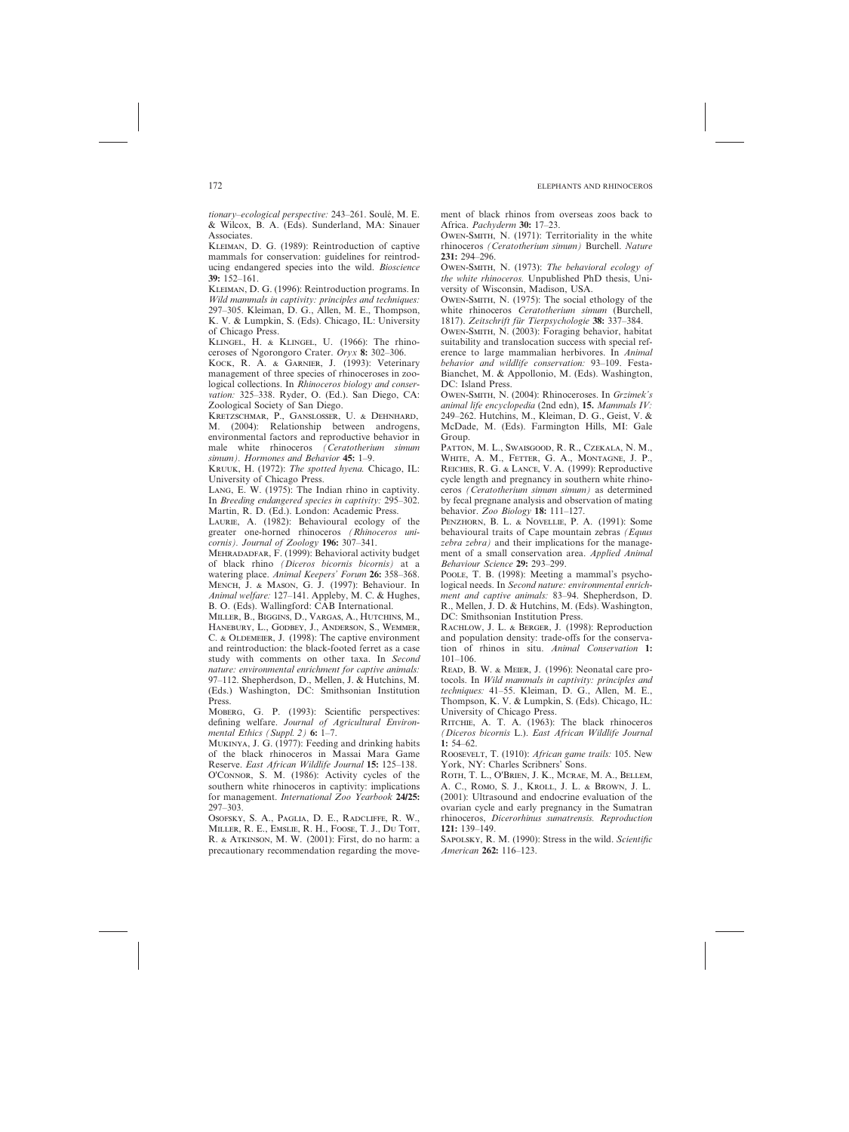tionary-ecological perspective: 243-261. Soulé, M. E. & Wilcox, B. A. (Eds). Sunderland, MA: Sinauer Associates.

Kleiman, D. G. (1989): Reintroduction of captive mammals for conservation: guidelines for reintroducing endangered species into the wild. *Bioscience* **39:** 152–161.

Kleiman, D. G. (1996): Reintroduction programs. In *Wild mammals in captivity: principles and techniques:* 297–305. Kleiman, D. G., Allen, M. E., Thompson, K. V. & Lumpkin, S. (Eds). Chicago, IL: University of Chicago Press.

Klingel, H. & Klingel, U. (1966): The rhinoceroses of Ngorongoro Crater. *Oryx* **8:** 302–306.

Kock, R. A. & Garnier, J. (1993): Veterinary management of three species of rhinoceroses in zoological collections. In *Rhinoceros biology and conservation:* 325–338. Ryder, O. (Ed.). San Diego, CA: Zoological Society of San Diego.

Kretzschmar, P., Ganslosser, U. & Dehnhard, M. (2004): Relationship between androgens, environmental factors and reproductive behavior in male white rhinoceros *(Ceratotherium simum simum). Hormones and Behavior* **45:** 1–9.

Kruuk, H. (1972): *The spotted hyena.* Chicago, IL: University of Chicago Press.

LANG, E. W. (1975): The Indian rhino in captivity. In *Breeding endangered species in captivity:* 295–302. Martin, R. D. (Ed.). London: Academic Press.

LAURIE, A. (1982): Behavioural ecology of the greater one-horned rhinoceros *(Rhinoceros unicornis). Journal of Zoology* **196:** 307–341.

Mehradadfar, F. (1999): Behavioral activity budget of black rhino *(Diceros bicornis bicornis)* at a watering place. *Animal Keepers' Forum* **26:** 358–368. Mench, J. & Mason, G. J. (1997): Behaviour. In *Animal welfare:* 127–141. Appleby, M. C. & Hughes, B. O. (Eds). Wallingford: CAB International.

Miller, B., Biggins, D., Vargas, A., Hutchins, M., Hanebury, L., Godbey, J., Anderson, S., Wemmer, C. & OLDEMEIER, J. (1998): The captive environment and reintroduction: the black-footed ferret as a case study with comments on other taxa. In *Second nature: environmental enrichment for captive animals:* 97–112. Shepherdson, D., Mellen, J. & Hutchins, M. (Eds.) Washington, DC: Smithsonian Institution Press.

MOBERG, G. P. (1993): Scientific perspectives: defining welfare. *Journal of Agricultural Environmental Ethics (Suppl. 2)* **6:** 1–7.

MUKINYA, J. G.  $(1977)$ : Feeding and drinking habits of the black rhinoceros in Massai Mara Game Reserve. *East African Wildlife Journal* **15:** 125–138.

O'Connor, S. M. (1986): Activity cycles of the southern white rhinoceros in captivity: implications for management. *International Zoo Yearbook* **24/25:** 297–303.

Osofsky, S. A., Paglia, D. E., Radcliffe, R. W., Miller, R. E., Emslie, R. H., Foose, T. J., Du Toit, R. & Atkinson, M. W. (2001): First, do no harm: a precautionary recommendation regarding the movement of black rhinos from overseas zoos back to Africa. *Pachyderm* **30:** 17–23.

OWEN-SMITH, N. (1971): Territoriality in the white rhinoceros *(Ceratotherium simum)* Burchell. *Nature* **231:** 294–296.

Owen-Smith, N. (1973): *The behavioral ecology of the white rhinoceros.* Unpublished PhD thesis, University of Wisconsin, Madison, USA.

Owen-Smith, N. (1975): The social ethology of the white rhinoceros *Ceratotherium simum* (Burchell, 1817). *Zeitschrift fu¨r Tierpsychologie* **38:** 337–384.

Owen-Smith, N. (2003): Foraging behavior, habitat suitability and translocation success with special reference to large mammalian herbivores. In *Animal behavior and wildlife conservation:* 93–109. Festa-Bianchet, M. & Appollonio, M. (Eds). Washington, DC: Island Press.

Owen-Smith, N. (2004): Rhinoceroses. In *Grzimek's animal life encyclopedia* (2nd edn), **15.** *Mammals IV:* 249–262. Hutchins, M., Kleiman, D. G., Geist, V. & McDade, M. (Eds). Farmington Hills, MI: Gale Group.

Patton, M. L., Swaisgood, R. R., Czekala, N. M., White, A. M., Fetter, G. A., Montagne, J. P., Reiches, R. G. & Lance, V. A. (1999): Reproductive cycle length and pregnancy in southern white rhinoceros *(Ceratotherium simum simum)* as determined by fecal pregnane analysis and observation of mating behavior. *Zoo Biology* **18:** 111–127.

PENZHORN, B. L. & NOVELLIE, P. A. (1991): Some behavioural traits of Cape mountain zebras *(Equus zebra zebra)* and their implications for the management of a small conservation area. *Applied Animal Behaviour Science* **29:** 293–299.

Poole, T. B. (1998): Meeting a mammal's psychological needs. In *Second nature: environmental enrichment and captive animals:* 83–94. Shepherdson, D. R., Mellen, J. D. & Hutchins, M. (Eds). Washington, DC: Smithsonian Institution Press.

RACHLOW, J. L. & BERGER, J. (1998): Reproduction and population density: trade-offs for the conservation of rhinos in situ. *Animal Conservation* **1:** 101–106.

READ, B. W. & MEIER, J. (1996): Neonatal care protocols. In *Wild mammals in captivity: principles and techniques:* 41–55. Kleiman, D. G., Allen, M. E., Thompson, K. V. & Lumpkin, S. (Eds). Chicago, IL: University of Chicago Press.

Ritchie, A. T. A. (1963): The black rhinoceros *(Diceros bicornis* L.). *East African Wildlife Journal* **1:** 54–62.

Roosevelt, T. (1910): *African game trails:* 105. New York, NY: Charles Scribners' Sons.

Roth, T. L., O'Brien, J. K., Mcrae, M. A., Bellem, A. C., Romo, S. J., Kroll, J. L. & Brown, J. L. (2001): Ultrasound and endocrine evaluation of the ovarian cycle and early pregnancy in the Sumatran rhinoceros, *Dicerorhinus sumatrensis. Reproduction* **121:** 139–149.

Sapolsky, R. M. (1990): Stress in the wild. *Scientific American* **262:** 116–123.